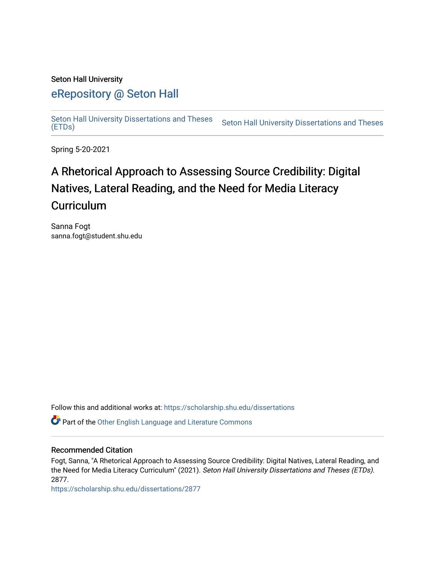## Seton Hall University

# [eRepository @ Seton Hall](https://scholarship.shu.edu/)

[Seton Hall University Dissertations and Theses](https://scholarship.shu.edu/dissertations)  Seton Hall University Dissertations and Theses Seton Hall University Dissertations and Theses<br>[\(ETDs\)](https://scholarship.shu.edu/dissertations)

Spring 5-20-2021

# A Rhetorical Approach to Assessing Source Credibility: Digital Natives, Lateral Reading, and the Need for Media Literacy **Curriculum**

Sanna Fogt sanna.fogt@student.shu.edu

Follow this and additional works at: [https://scholarship.shu.edu/dissertations](https://scholarship.shu.edu/dissertations?utm_source=scholarship.shu.edu%2Fdissertations%2F2877&utm_medium=PDF&utm_campaign=PDFCoverPages) 

Part of the [Other English Language and Literature Commons](http://network.bepress.com/hgg/discipline/462?utm_source=scholarship.shu.edu%2Fdissertations%2F2877&utm_medium=PDF&utm_campaign=PDFCoverPages)

## Recommended Citation

Fogt, Sanna, "A Rhetorical Approach to Assessing Source Credibility: Digital Natives, Lateral Reading, and the Need for Media Literacy Curriculum" (2021). Seton Hall University Dissertations and Theses (ETDs). 2877.

[https://scholarship.shu.edu/dissertations/2877](https://scholarship.shu.edu/dissertations/2877?utm_source=scholarship.shu.edu%2Fdissertations%2F2877&utm_medium=PDF&utm_campaign=PDFCoverPages)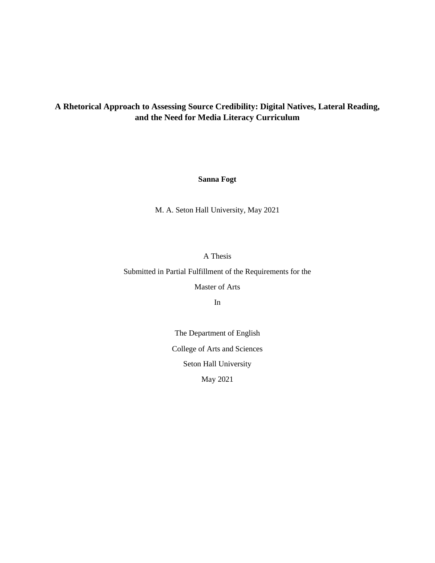# **A Rhetorical Approach to Assessing Source Credibility: Digital Natives, Lateral Reading, and the Need for Media Literacy Curriculum**

### **Sanna Fogt**

M. A. Seton Hall University, May 2021

### A Thesis

Submitted in Partial Fulfillment of the Requirements for the

Master of Arts

In

The Department of English College of Arts and Sciences Seton Hall University May 2021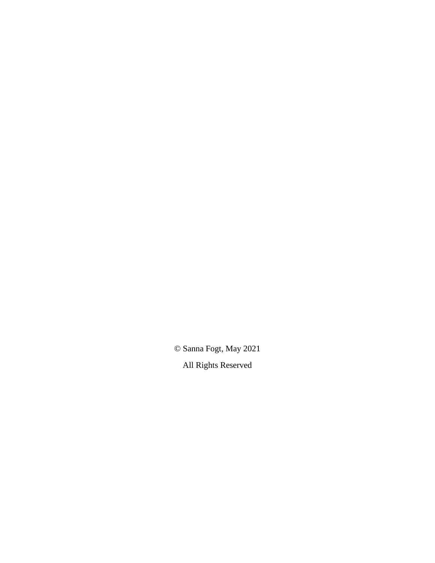© Sanna Fogt, May 2021

All Rights Reserved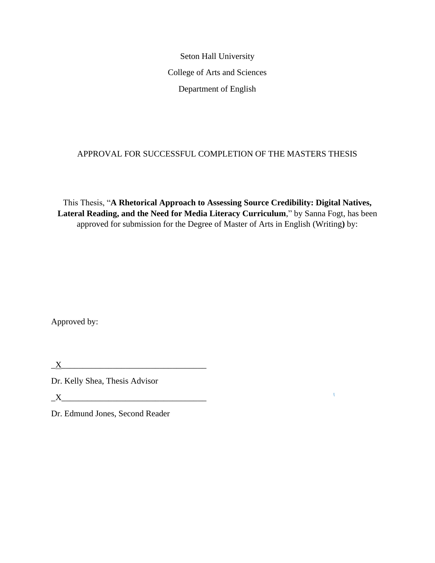Seton Hall University College of Arts and Sciences Department of English

# APPROVAL FOR SUCCESSFUL COMPLETION OF THE MASTERS THESIS

This Thesis, "**A Rhetorical Approach to Assessing Source Credibility: Digital Natives, Lateral Reading, and the Need for Media Literacy Curriculum**," by Sanna Fogt, has been approved for submission for the Degree of Master of Arts in English (Writing**)** by:

 $\mathbf{L}$ 

Approved by:

|--|

Dr. Kelly Shea, Thesis Advisor

 $X$   $\overline{\phantom{a}}$ 

Dr. Edmund Jones, Second Reader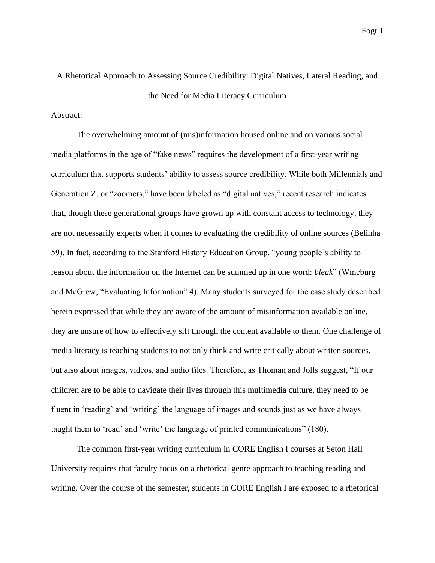# A Rhetorical Approach to Assessing Source Credibility: Digital Natives, Lateral Reading, and the Need for Media Literacy Curriculum

Abstract:

The overwhelming amount of (mis)information housed online and on various social media platforms in the age of "fake news" requires the development of a first-year writing curriculum that supports students' ability to assess source credibility. While both Millennials and Generation Z, or "zoomers," have been labeled as "digital natives," recent research indicates that, though these generational groups have grown up with constant access to technology, they are not necessarily experts when it comes to evaluating the credibility of online sources (Belinha 59). In fact, according to the Stanford History Education Group, "young people's ability to reason about the information on the Internet can be summed up in one word: *bleak*" (Wineburg and McGrew, "Evaluating Information" 4). Many students surveyed for the case study described herein expressed that while they are aware of the amount of misinformation available online, they are unsure of how to effectively sift through the content available to them. One challenge of media literacy is teaching students to not only think and write critically about written sources, but also about images, videos, and audio files. Therefore, as Thoman and Jolls suggest, "If our children are to be able to navigate their lives through this multimedia culture, they need to be fluent in 'reading' and 'writing' the language of images and sounds just as we have always taught them to 'read' and 'write' the language of printed communications" (180).

The common first-year writing curriculum in CORE English I courses at Seton Hall University requires that faculty focus on a rhetorical genre approach to teaching reading and writing. Over the course of the semester, students in CORE English I are exposed to a rhetorical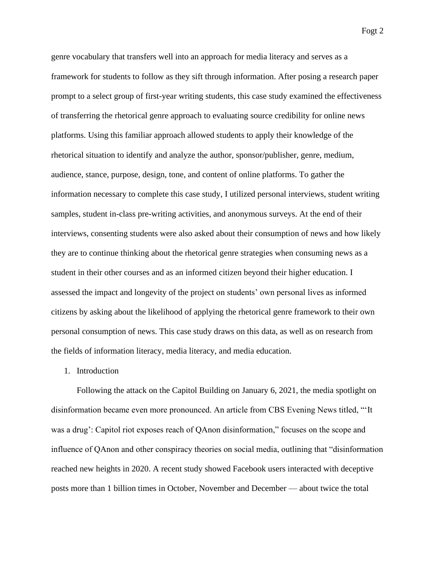genre vocabulary that transfers well into an approach for media literacy and serves as a framework for students to follow as they sift through information. After posing a research paper prompt to a select group of first-year writing students, this case study examined the effectiveness of transferring the rhetorical genre approach to evaluating source credibility for online news platforms. Using this familiar approach allowed students to apply their knowledge of the rhetorical situation to identify and analyze the author, sponsor/publisher, genre, medium, audience, stance, purpose, design, tone, and content of online platforms. To gather the information necessary to complete this case study, I utilized personal interviews, student writing samples, student in-class pre-writing activities, and anonymous surveys. At the end of their interviews, consenting students were also asked about their consumption of news and how likely they are to continue thinking about the rhetorical genre strategies when consuming news as a student in their other courses and as an informed citizen beyond their higher education. I assessed the impact and longevity of the project on students' own personal lives as informed citizens by asking about the likelihood of applying the rhetorical genre framework to their own personal consumption of news. This case study draws on this data, as well as on research from the fields of information literacy, media literacy, and media education.

## 1. Introduction

Following the attack on the Capitol Building on January 6, 2021, the media spotlight on disinformation became even more pronounced. An article from CBS Evening News titled, "'It was a drug': Capitol riot exposes reach of QAnon disinformation," focuses on the scope and influence of QAnon and other conspiracy theories on social media, outlining that "disinformation reached new heights in 2020. A recent study showed Facebook users interacted with deceptive posts more than 1 billion times in October, November and December — about twice the total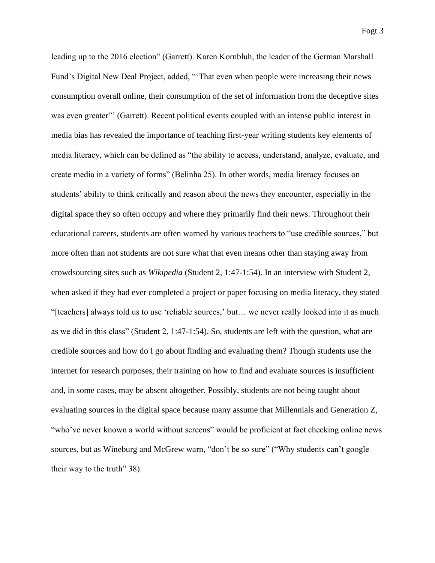leading up to the 2016 election" (Garrett). Karen Kornbluh, the leader of the German Marshall Fund's Digital New Deal Project, added, "'That even when people were increasing their news consumption overall online, their consumption of the set of information from the deceptive sites was even greater"' (Garrett). Recent political events coupled with an intense public interest in media bias has revealed the importance of teaching first-year writing students key elements of media literacy, which can be defined as "the ability to access, understand, analyze, evaluate, and create media in a variety of forms" (Belinha 25). In other words, media literacy focuses on students' ability to think critically and reason about the news they encounter, especially in the digital space they so often occupy and where they primarily find their news. Throughout their educational careers, students are often warned by various teachers to "use credible sources," but more often than not students are not sure what that even means other than staying away from crowdsourcing sites such as *Wikipedia* (Student 2, 1:47-1:54). In an interview with Student 2, when asked if they had ever completed a project or paper focusing on media literacy, they stated "[teachers] always told us to use 'reliable sources,' but… we never really looked into it as much as we did in this class" (Student 2, 1:47-1:54). So, students are left with the question, what are credible sources and how do I go about finding and evaluating them? Though students use the internet for research purposes, their training on how to find and evaluate sources is insufficient and, in some cases, may be absent altogether. Possibly, students are not being taught about evaluating sources in the digital space because many assume that Millennials and Generation Z, "who've never known a world without screens" would be proficient at fact checking online news sources, but as Wineburg and McGrew warn, "don't be so sure" ("Why students can't google their way to the truth" 38).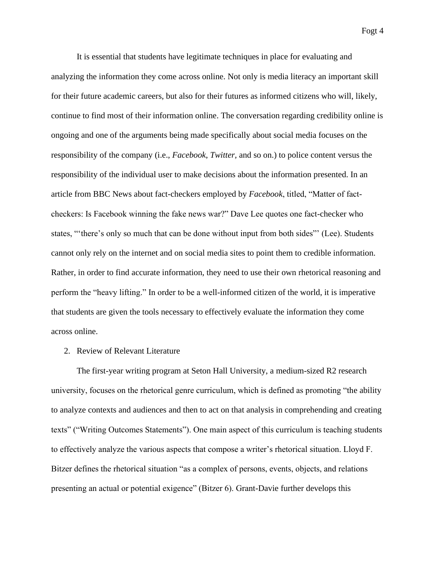It is essential that students have legitimate techniques in place for evaluating and analyzing the information they come across online. Not only is media literacy an important skill for their future academic careers, but also for their futures as informed citizens who will, likely, continue to find most of their information online. The conversation regarding credibility online is ongoing and one of the arguments being made specifically about social media focuses on the responsibility of the company (i.e., *Facebook*, *Twitter,* and so on.) to police content versus the responsibility of the individual user to make decisions about the information presented. In an article from BBC News about fact-checkers employed by *Facebook*, titled, "Matter of factcheckers: Is Facebook winning the fake news war?" Dave Lee quotes one fact-checker who states, "'there's only so much that can be done without input from both sides"' (Lee). Students cannot only rely on the internet and on social media sites to point them to credible information. Rather, in order to find accurate information, they need to use their own rhetorical reasoning and perform the "heavy lifting." In order to be a well-informed citizen of the world, it is imperative that students are given the tools necessary to effectively evaluate the information they come across online.

### 2. Review of Relevant Literature

The first-year writing program at Seton Hall University, a medium-sized R2 research university, focuses on the rhetorical genre curriculum, which is defined as promoting "the ability to analyze contexts and audiences and then to act on that analysis in comprehending and creating texts" ("Writing Outcomes Statements"). One main aspect of this curriculum is teaching students to effectively analyze the various aspects that compose a writer's rhetorical situation. Lloyd F. Bitzer defines the rhetorical situation "as a complex of persons, events, objects, and relations presenting an actual or potential exigence" (Bitzer 6). Grant-Davie further develops this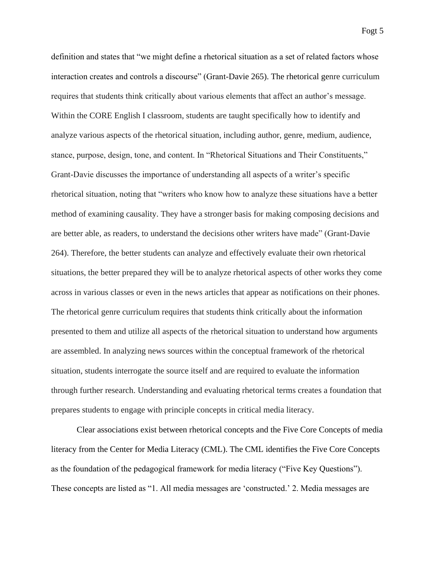definition and states that "we might define a rhetorical situation as a set of related factors whose interaction creates and controls a discourse" (Grant-Davie 265). The rhetorical genre curriculum requires that students think critically about various elements that affect an author's message. Within the CORE English I classroom, students are taught specifically how to identify and analyze various aspects of the rhetorical situation, including author, genre, medium, audience, stance, purpose, design, tone, and content. In "Rhetorical Situations and Their Constituents," Grant-Davie discusses the importance of understanding all aspects of a writer's specific rhetorical situation, noting that "writers who know how to analyze these situations have a better method of examining causality. They have a stronger basis for making composing decisions and are better able, as readers, to understand the decisions other writers have made" (Grant-Davie 264). Therefore, the better students can analyze and effectively evaluate their own rhetorical situations, the better prepared they will be to analyze rhetorical aspects of other works they come across in various classes or even in the news articles that appear as notifications on their phones. The rhetorical genre curriculum requires that students think critically about the information presented to them and utilize all aspects of the rhetorical situation to understand how arguments are assembled. In analyzing news sources within the conceptual framework of the rhetorical situation, students interrogate the source itself and are required to evaluate the information through further research. Understanding and evaluating rhetorical terms creates a foundation that prepares students to engage with principle concepts in critical media literacy.

Clear associations exist between rhetorical concepts and the Five Core Concepts of media literacy from the Center for Media Literacy (CML). The CML identifies the Five Core Concepts as the foundation of the pedagogical framework for media literacy ("Five Key Questions"). These concepts are listed as "1. All media messages are 'constructed.' 2. Media messages are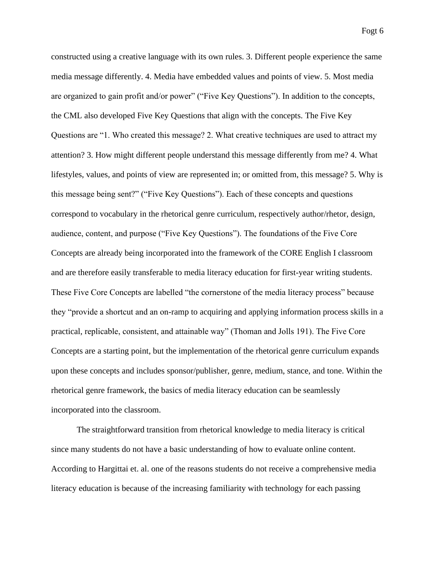constructed using a creative language with its own rules. 3. Different people experience the same media message differently. 4. Media have embedded values and points of view. 5. Most media are organized to gain profit and/or power" ("Five Key Questions"). In addition to the concepts, the CML also developed Five Key Questions that align with the concepts. The Five Key Questions are "1. Who created this message? 2. What creative techniques are used to attract my attention? 3. How might different people understand this message differently from me? 4. What lifestyles, values, and points of view are represented in; or omitted from, this message? 5. Why is this message being sent?" ("Five Key Questions"). Each of these concepts and questions correspond to vocabulary in the rhetorical genre curriculum, respectively author/rhetor, design, audience, content, and purpose ("Five Key Questions"). The foundations of the Five Core Concepts are already being incorporated into the framework of the CORE English I classroom and are therefore easily transferable to media literacy education for first-year writing students. These Five Core Concepts are labelled "the cornerstone of the media literacy process" because they "provide a shortcut and an on-ramp to acquiring and applying information process skills in a practical, replicable, consistent, and attainable way" (Thoman and Jolls 191). The Five Core Concepts are a starting point, but the implementation of the rhetorical genre curriculum expands upon these concepts and includes sponsor/publisher, genre, medium, stance, and tone. Within the rhetorical genre framework, the basics of media literacy education can be seamlessly incorporated into the classroom.

The straightforward transition from rhetorical knowledge to media literacy is critical since many students do not have a basic understanding of how to evaluate online content. According to Hargittai et. al. one of the reasons students do not receive a comprehensive media literacy education is because of the increasing familiarity with technology for each passing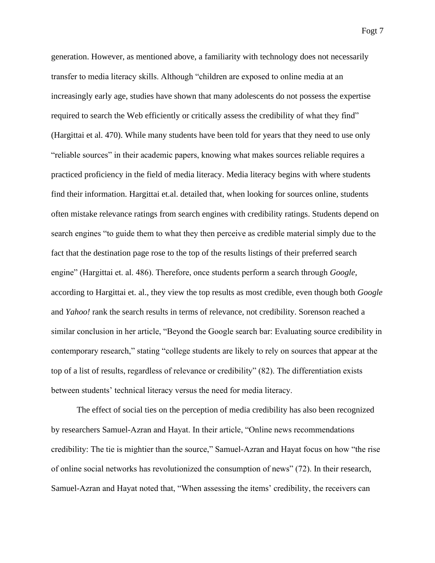generation. However, as mentioned above, a familiarity with technology does not necessarily transfer to media literacy skills. Although "children are exposed to online media at an increasingly early age, studies have shown that many adolescents do not possess the expertise required to search the Web efficiently or critically assess the credibility of what they find" (Hargittai et al. 470). While many students have been told for years that they need to use only "reliable sources" in their academic papers, knowing what makes sources reliable requires a practiced proficiency in the field of media literacy. Media literacy begins with where students find their information. Hargittai et.al. detailed that, when looking for sources online, students often mistake relevance ratings from search engines with credibility ratings. Students depend on search engines "to guide them to what they then perceive as credible material simply due to the fact that the destination page rose to the top of the results listings of their preferred search engine" (Hargittai et. al. 486). Therefore, once students perform a search through *Google*, according to Hargittai et. al., they view the top results as most credible, even though both *Google* and *Yahoo!* rank the search results in terms of relevance, not credibility. Sorenson reached a similar conclusion in her article, "Beyond the Google search bar: Evaluating source credibility in contemporary research," stating "college students are likely to rely on sources that appear at the top of a list of results, regardless of relevance or credibility" (82). The differentiation exists between students' technical literacy versus the need for media literacy.

The effect of social ties on the perception of media credibility has also been recognized by researchers Samuel-Azran and Hayat. In their article, "Online news recommendations credibility: The tie is mightier than the source," Samuel-Azran and Hayat focus on how "the rise of online social networks has revolutionized the consumption of news" (72). In their research, Samuel-Azran and Hayat noted that, "When assessing the items' credibility, the receivers can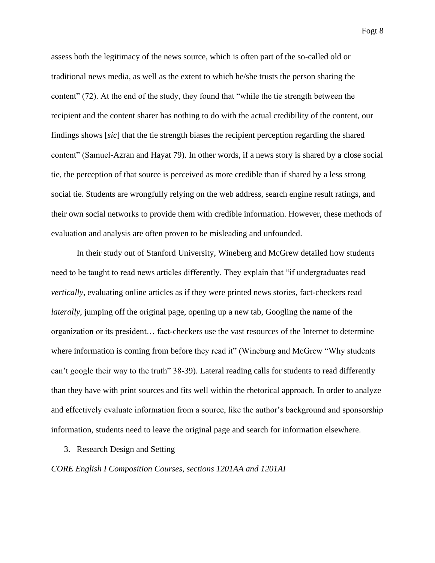assess both the legitimacy of the news source, which is often part of the so-called old or traditional news media, as well as the extent to which he/she trusts the person sharing the content" (72). At the end of the study, they found that "while the tie strength between the recipient and the content sharer has nothing to do with the actual credibility of the content, our findings shows [*sic*] that the tie strength biases the recipient perception regarding the shared content" (Samuel-Azran and Hayat 79). In other words, if a news story is shared by a close social tie, the perception of that source is perceived as more credible than if shared by a less strong social tie. Students are wrongfully relying on the web address, search engine result ratings, and their own social networks to provide them with credible information. However, these methods of evaluation and analysis are often proven to be misleading and unfounded.

In their study out of Stanford University, Wineberg and McGrew detailed how students need to be taught to read news articles differently. They explain that "if undergraduates read *vertically*, evaluating online articles as if they were printed news stories, fact-checkers read *laterally*, jumping off the original page, opening up a new tab, Googling the name of the organization or its president… fact-checkers use the vast resources of the Internet to determine where information is coming from before they read it" (Wineburg and McGrew "Why students can't google their way to the truth" 38-39). Lateral reading calls for students to read differently than they have with print sources and fits well within the rhetorical approach. In order to analyze and effectively evaluate information from a source, like the author's background and sponsorship information, students need to leave the original page and search for information elsewhere.

3. Research Design and Setting

### *CORE English I Composition Courses, sections 1201AA and 1201AI*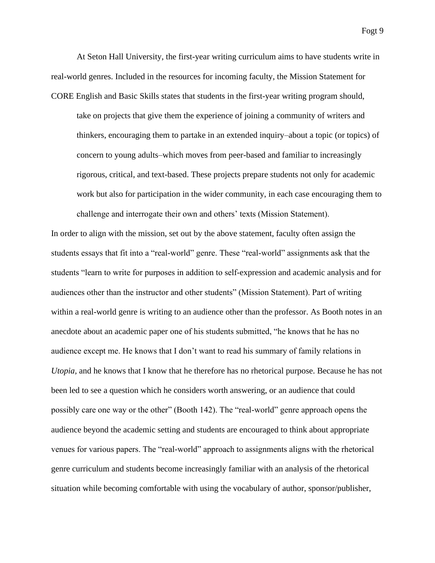At Seton Hall University, the first-year writing curriculum aims to have students write in real-world genres. Included in the resources for incoming faculty, the Mission Statement for CORE English and Basic Skills states that students in the first-year writing program should, take on projects that give them the experience of joining a community of writers and thinkers, encouraging them to partake in an extended inquiry–about a topic (or topics) of concern to young adults–which moves from peer-based and familiar to increasingly rigorous, critical, and text-based. These projects prepare students not only for academic work but also for participation in the wider community, in each case encouraging them to challenge and interrogate their own and others' texts (Mission Statement).

In order to align with the mission, set out by the above statement, faculty often assign the students essays that fit into a "real-world" genre. These "real-world" assignments ask that the students "learn to write for purposes in addition to self-expression and academic analysis and for audiences other than the instructor and other students" (Mission Statement). Part of writing within a real-world genre is writing to an audience other than the professor. As Booth notes in an anecdote about an academic paper one of his students submitted, "he knows that he has no audience except me. He knows that I don't want to read his summary of family relations in *Utopia,* and he knows that I know that he therefore has no rhetorical purpose. Because he has not been led to see a question which he considers worth answering, or an audience that could possibly care one way or the other" (Booth 142). The "real-world" genre approach opens the audience beyond the academic setting and students are encouraged to think about appropriate venues for various papers. The "real-world" approach to assignments aligns with the rhetorical genre curriculum and students become increasingly familiar with an analysis of the rhetorical situation while becoming comfortable with using the vocabulary of author, sponsor/publisher,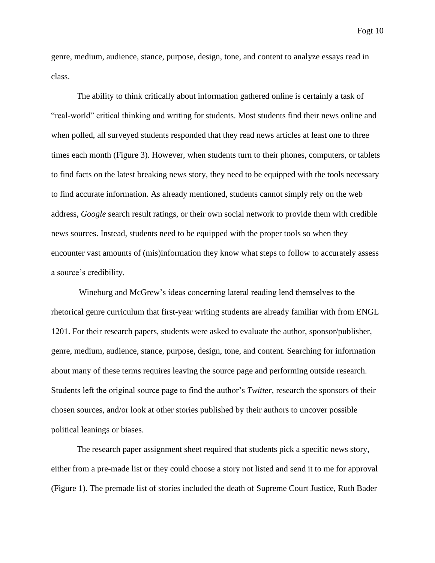genre, medium, audience, stance, purpose, design, tone, and content to analyze essays read in class.

The ability to think critically about information gathered online is certainly a task of "real-world" critical thinking and writing for students. Most students find their news online and when polled, all surveyed students responded that they read news articles at least one to three times each month (Figure 3). However, when students turn to their phones, computers, or tablets to find facts on the latest breaking news story, they need to be equipped with the tools necessary to find accurate information. As already mentioned, students cannot simply rely on the web address, *Google* search result ratings, or their own social network to provide them with credible news sources. Instead, students need to be equipped with the proper tools so when they encounter vast amounts of (mis)information they know what steps to follow to accurately assess a source's credibility.

Wineburg and McGrew's ideas concerning lateral reading lend themselves to the rhetorical genre curriculum that first-year writing students are already familiar with from ENGL 1201. For their research papers, students were asked to evaluate the author, sponsor/publisher, genre, medium, audience, stance, purpose, design, tone, and content. Searching for information about many of these terms requires leaving the source page and performing outside research. Students left the original source page to find the author's *Twitter*, research the sponsors of their chosen sources, and/or look at other stories published by their authors to uncover possible political leanings or biases.

The research paper assignment sheet required that students pick a specific news story, either from a pre-made list or they could choose a story not listed and send it to me for approval (Figure 1). The premade list of stories included the death of Supreme Court Justice, Ruth Bader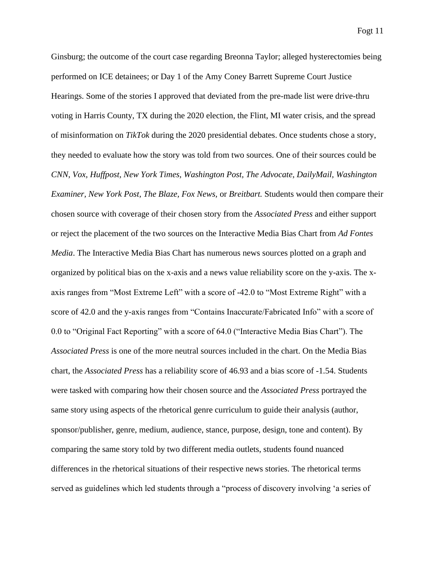Ginsburg; the outcome of the court case regarding Breonna Taylor; alleged hysterectomies being performed on ICE detainees; or Day 1 of the Amy Coney Barrett Supreme Court Justice Hearings. Some of the stories I approved that deviated from the pre-made list were drive-thru voting in Harris County, TX during the 2020 election, the Flint, MI water crisis, and the spread of misinformation on *TikTok* during the 2020 presidential debates. Once students chose a story, they needed to evaluate how the story was told from two sources. One of their sources could be *CNN*, *Vox, Huffpost, New York Times, Washington Post, The Advocate, DailyMail, Washington Examiner, New York Post, The Blaze, Fox News,* or *Breitbart.* Students would then compare their chosen source with coverage of their chosen story from the *Associated Press* and either support or reject the placement of the two sources on the Interactive Media Bias Chart from *Ad Fontes Media*. The Interactive Media Bias Chart has numerous news sources plotted on a graph and organized by political bias on the x-axis and a news value reliability score on the y-axis. The xaxis ranges from "Most Extreme Left" with a score of -42.0 to "Most Extreme Right" with a score of 42.0 and the y-axis ranges from "Contains Inaccurate/Fabricated Info" with a score of 0.0 to "Original Fact Reporting" with a score of 64.0 ("Interactive Media Bias Chart"). The *Associated Press* is one of the more neutral sources included in the chart. On the Media Bias chart, the *Associated Press* has a reliability score of 46.93 and a bias score of -1.54. Students were tasked with comparing how their chosen source and the *Associated Press* portrayed the same story using aspects of the rhetorical genre curriculum to guide their analysis (author, sponsor/publisher, genre, medium, audience, stance, purpose, design, tone and content). By comparing the same story told by two different media outlets, students found nuanced differences in the rhetorical situations of their respective news stories. The rhetorical terms served as guidelines which led students through a "process of discovery involving 'a series of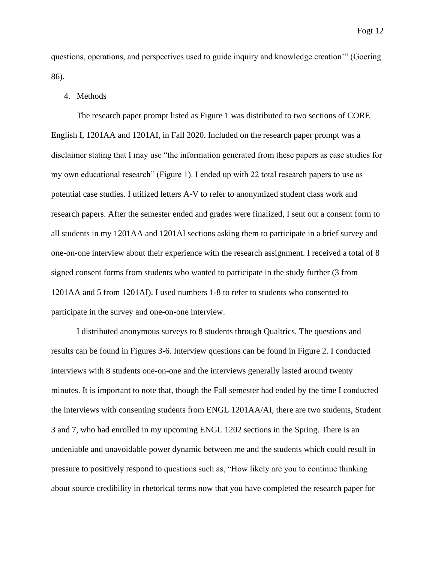questions, operations, and perspectives used to guide inquiry and knowledge creation'" (Goering 86).

### 4. Methods

The research paper prompt listed as Figure 1 was distributed to two sections of CORE English I, 1201AA and 1201AI, in Fall 2020. Included on the research paper prompt was a disclaimer stating that I may use "the information generated from these papers as case studies for my own educational research" (Figure 1). I ended up with 22 total research papers to use as potential case studies. I utilized letters A-V to refer to anonymized student class work and research papers. After the semester ended and grades were finalized, I sent out a consent form to all students in my 1201AA and 1201AI sections asking them to participate in a brief survey and one-on-one interview about their experience with the research assignment. I received a total of 8 signed consent forms from students who wanted to participate in the study further (3 from 1201AA and 5 from 1201AI). I used numbers 1-8 to refer to students who consented to participate in the survey and one-on-one interview.

I distributed anonymous surveys to 8 students through Qualtrics. The questions and results can be found in Figures 3-6. Interview questions can be found in Figure 2. I conducted interviews with 8 students one-on-one and the interviews generally lasted around twenty minutes. It is important to note that, though the Fall semester had ended by the time I conducted the interviews with consenting students from ENGL 1201AA/AI, there are two students, Student 3 and 7, who had enrolled in my upcoming ENGL 1202 sections in the Spring. There is an undeniable and unavoidable power dynamic between me and the students which could result in pressure to positively respond to questions such as, "How likely are you to continue thinking about source credibility in rhetorical terms now that you have completed the research paper for

Fogt 12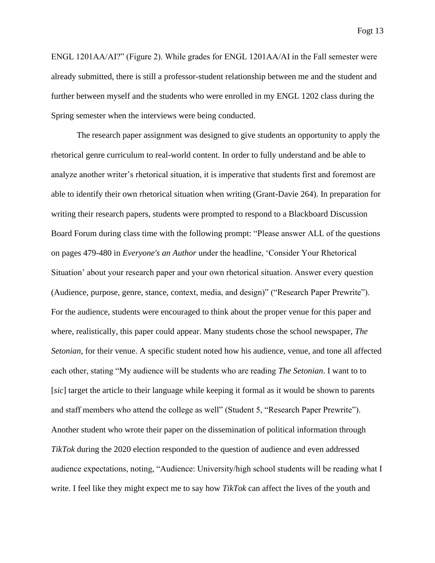ENGL 1201AA/AI?" (Figure 2). While grades for ENGL 1201AA/AI in the Fall semester were already submitted, there is still a professor-student relationship between me and the student and further between myself and the students who were enrolled in my ENGL 1202 class during the Spring semester when the interviews were being conducted.

The research paper assignment was designed to give students an opportunity to apply the rhetorical genre curriculum to real-world content. In order to fully understand and be able to analyze another writer's rhetorical situation, it is imperative that students first and foremost are able to identify their own rhetorical situation when writing (Grant-Davie 264). In preparation for writing their research papers, students were prompted to respond to a Blackboard Discussion Board Forum during class time with the following prompt: "Please answer ALL of the questions on pages 479-480 in *Everyone's an Author* under the headline, 'Consider Your Rhetorical Situation' about your research paper and your own rhetorical situation. Answer every question (Audience, purpose, genre, stance, context, media, and design)" ("Research Paper Prewrite"). For the audience, students were encouraged to think about the proper venue for this paper and where, realistically, this paper could appear. Many students chose the school newspaper, *The Setonian*, for their venue. A specific student noted how his audience, venue, and tone all affected each other, stating "My audience will be students who are reading *The Setonian*. I want to to [*sic*] target the article to their language while keeping it formal as it would be shown to parents and staff members who attend the college as well" (Student 5, "Research Paper Prewrite"). Another student who wrote their paper on the dissemination of political information through *TikTok* during the 2020 election responded to the question of audience and even addressed audience expectations, noting, "Audience: University/high school students will be reading what I write. I feel like they might expect me to say how *TikTok* can affect the lives of the youth and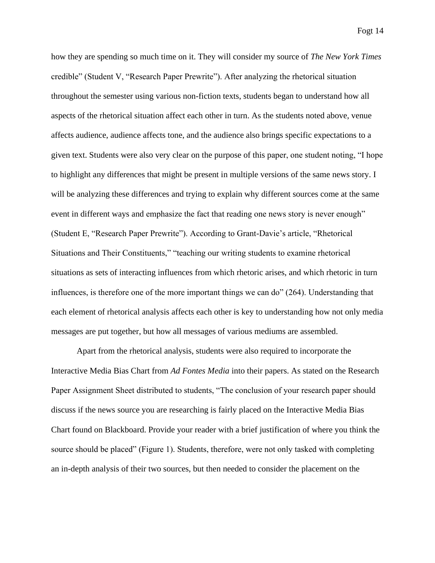how they are spending so much time on it. They will consider my source of *The New York Times* credible" (Student V, "Research Paper Prewrite"). After analyzing the rhetorical situation throughout the semester using various non-fiction texts, students began to understand how all aspects of the rhetorical situation affect each other in turn. As the students noted above, venue affects audience, audience affects tone, and the audience also brings specific expectations to a given text. Students were also very clear on the purpose of this paper, one student noting, "I hope to highlight any differences that might be present in multiple versions of the same news story. I will be analyzing these differences and trying to explain why different sources come at the same event in different ways and emphasize the fact that reading one news story is never enough" (Student E, "Research Paper Prewrite"). According to Grant-Davie's article, "Rhetorical Situations and Their Constituents," "teaching our writing students to examine rhetorical situations as sets of interacting influences from which rhetoric arises, and which rhetoric in turn influences, is therefore one of the more important things we can do" (264). Understanding that each element of rhetorical analysis affects each other is key to understanding how not only media messages are put together, but how all messages of various mediums are assembled.

Apart from the rhetorical analysis, students were also required to incorporate the Interactive Media Bias Chart from *Ad Fontes Media* into their papers. As stated on the Research Paper Assignment Sheet distributed to students, "The conclusion of your research paper should discuss if the news source you are researching is fairly placed on the Interactive Media Bias Chart found on Blackboard. Provide your reader with a brief justification of where you think the source should be placed" (Figure 1). Students, therefore, were not only tasked with completing an in-depth analysis of their two sources, but then needed to consider the placement on the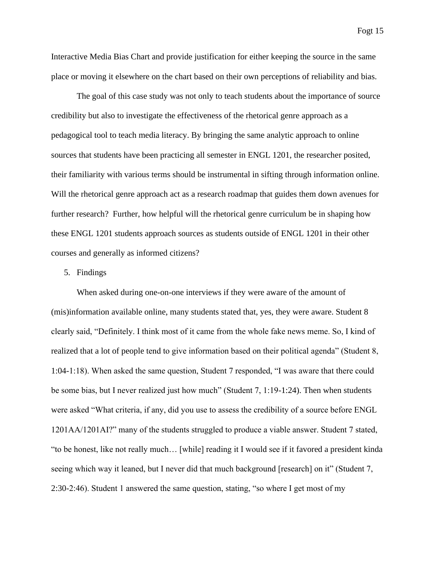Interactive Media Bias Chart and provide justification for either keeping the source in the same place or moving it elsewhere on the chart based on their own perceptions of reliability and bias.

The goal of this case study was not only to teach students about the importance of source credibility but also to investigate the effectiveness of the rhetorical genre approach as a pedagogical tool to teach media literacy. By bringing the same analytic approach to online sources that students have been practicing all semester in ENGL 1201, the researcher posited, their familiarity with various terms should be instrumental in sifting through information online. Will the rhetorical genre approach act as a research roadmap that guides them down avenues for further research? Further, how helpful will the rhetorical genre curriculum be in shaping how these ENGL 1201 students approach sources as students outside of ENGL 1201 in their other courses and generally as informed citizens?

### 5. Findings

When asked during one-on-one interviews if they were aware of the amount of (mis)information available online, many students stated that, yes, they were aware. Student 8 clearly said, "Definitely. I think most of it came from the whole fake news meme. So, I kind of realized that a lot of people tend to give information based on their political agenda" (Student 8, 1:04-1:18). When asked the same question, Student 7 responded, "I was aware that there could be some bias, but I never realized just how much" (Student 7, 1:19-1:24). Then when students were asked "What criteria, if any, did you use to assess the credibility of a source before ENGL 1201AA/1201AI?" many of the students struggled to produce a viable answer. Student 7 stated, "to be honest, like not really much… [while] reading it I would see if it favored a president kinda seeing which way it leaned, but I never did that much background [research] on it" (Student 7, 2:30-2:46). Student 1 answered the same question, stating, "so where I get most of my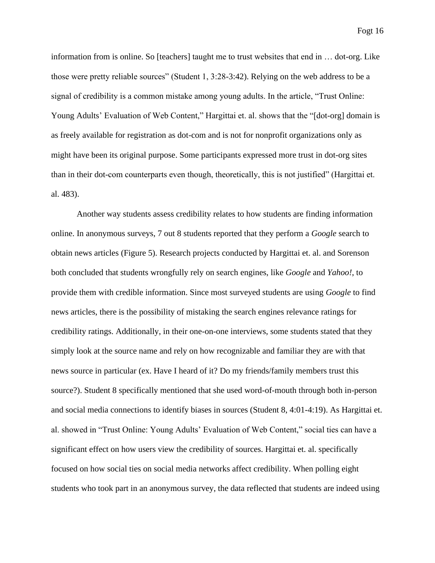information from is online. So [teachers] taught me to trust websites that end in … dot-org. Like

Fogt 16

those were pretty reliable sources" (Student 1, 3:28-3:42). Relying on the web address to be a signal of credibility is a common mistake among young adults. In the article, "Trust Online: Young Adults' Evaluation of Web Content," Hargittai et. al. shows that the "[dot-org] domain is as freely available for registration as dot-com and is not for nonprofit organizations only as might have been its original purpose. Some participants expressed more trust in dot-org sites than in their dot-com counterparts even though, theoretically, this is not justified" (Hargittai et. al. 483).

Another way students assess credibility relates to how students are finding information online. In anonymous surveys, 7 out 8 students reported that they perform a *Google* search to obtain news articles (Figure 5). Research projects conducted by Hargittai et. al. and Sorenson both concluded that students wrongfully rely on search engines, like *Google* and *Yahoo!*, to provide them with credible information. Since most surveyed students are using *Google* to find news articles, there is the possibility of mistaking the search engines relevance ratings for credibility ratings. Additionally, in their one-on-one interviews, some students stated that they simply look at the source name and rely on how recognizable and familiar they are with that news source in particular (ex. Have I heard of it? Do my friends/family members trust this source?). Student 8 specifically mentioned that she used word-of-mouth through both in-person and social media connections to identify biases in sources (Student 8, 4:01-4:19). As Hargittai et. al. showed in "Trust Online: Young Adults' Evaluation of Web Content," social ties can have a significant effect on how users view the credibility of sources. Hargittai et. al. specifically focused on how social ties on social media networks affect credibility. When polling eight students who took part in an anonymous survey, the data reflected that students are indeed using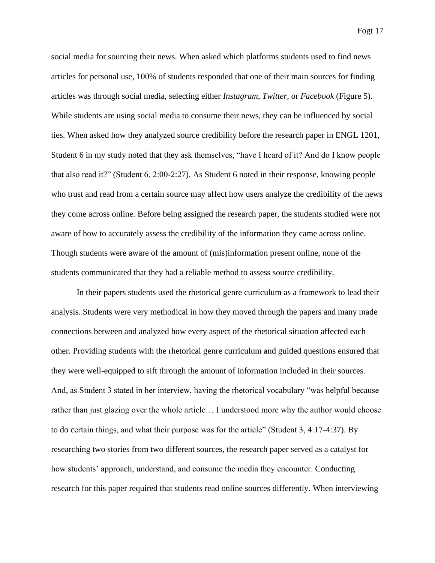social media for sourcing their news. When asked which platforms students used to find news articles for personal use, 100% of students responded that one of their main sources for finding articles was through social media, selecting either *Instagram*, *Twitter,* or *Facebook* (Figure 5). While students are using social media to consume their news, they can be influenced by social ties. When asked how they analyzed source credibility before the research paper in ENGL 1201, Student 6 in my study noted that they ask themselves, "have I heard of it? And do I know people that also read it?" (Student 6, 2:00-2:27). As Student 6 noted in their response, knowing people who trust and read from a certain source may affect how users analyze the credibility of the news they come across online. Before being assigned the research paper, the students studied were not aware of how to accurately assess the credibility of the information they came across online. Though students were aware of the amount of (mis)information present online, none of the students communicated that they had a reliable method to assess source credibility.

In their papers students used the rhetorical genre curriculum as a framework to lead their analysis. Students were very methodical in how they moved through the papers and many made connections between and analyzed how every aspect of the rhetorical situation affected each other. Providing students with the rhetorical genre curriculum and guided questions ensured that they were well-equipped to sift through the amount of information included in their sources. And, as Student 3 stated in her interview, having the rhetorical vocabulary "was helpful because rather than just glazing over the whole article… I understood more why the author would choose to do certain things, and what their purpose was for the article" (Student 3, 4:17-4:37). By researching two stories from two different sources, the research paper served as a catalyst for how students' approach, understand, and consume the media they encounter. Conducting research for this paper required that students read online sources differently. When interviewing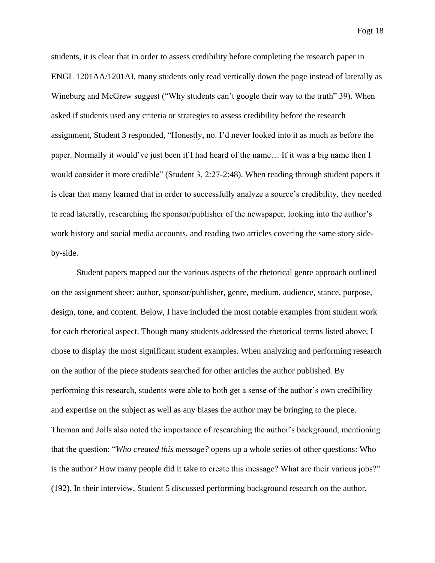students, it is clear that in order to assess credibility before completing the research paper in ENGL 1201AA/1201AI, many students only read vertically down the page instead of laterally as Wineburg and McGrew suggest ("Why students can't google their way to the truth" 39). When asked if students used any criteria or strategies to assess credibility before the research assignment, Student 3 responded, "Honestly, no. I'd never looked into it as much as before the paper. Normally it would've just been if I had heard of the name… If it was a big name then I would consider it more credible" (Student 3, 2:27-2:48). When reading through student papers it is clear that many learned that in order to successfully analyze a source's credibility, they needed to read laterally, researching the sponsor/publisher of the newspaper, looking into the author's work history and social media accounts, and reading two articles covering the same story sideby-side.

Student papers mapped out the various aspects of the rhetorical genre approach outlined on the assignment sheet: author, sponsor/publisher, genre, medium, audience, stance, purpose, design, tone, and content. Below, I have included the most notable examples from student work for each rhetorical aspect. Though many students addressed the rhetorical terms listed above, I chose to display the most significant student examples. When analyzing and performing research on the author of the piece students searched for other articles the author published. By performing this research, students were able to both get a sense of the author's own credibility and expertise on the subject as well as any biases the author may be bringing to the piece. Thoman and Jolls also noted the importance of researching the author's background, mentioning that the question: "*Who created this message?* opens up a whole series of other questions: Who is the author? How many people did it take to create this message? What are their various jobs?" (192). In their interview, Student 5 discussed performing background research on the author,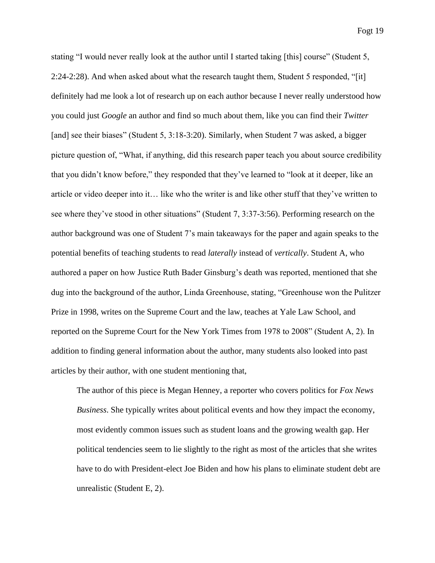stating "I would never really look at the author until I started taking [this] course" (Student 5, 2:24-2:28). And when asked about what the research taught them, Student 5 responded, "[it] definitely had me look a lot of research up on each author because I never really understood how you could just *Google* an author and find so much about them, like you can find their *Twitter* [and] see their biases" (Student 5, 3:18-3:20). Similarly, when Student 7 was asked, a bigger picture question of, "What, if anything, did this research paper teach you about source credibility that you didn't know before," they responded that they've learned to "look at it deeper, like an article or video deeper into it… like who the writer is and like other stuff that they've written to see where they've stood in other situations" (Student 7, 3:37-3:56). Performing research on the author background was one of Student 7's main takeaways for the paper and again speaks to the potential benefits of teaching students to read *laterally* instead of *vertically*. Student A, who authored a paper on how Justice Ruth Bader Ginsburg's death was reported, mentioned that she dug into the background of the author, Linda Greenhouse, stating, "Greenhouse won the Pulitzer Prize in 1998, writes on the Supreme Court and the law, teaches at Yale Law School, and reported on the Supreme Court for the New York Times from 1978 to 2008" (Student A, 2). In addition to finding general information about the author, many students also looked into past articles by their author, with one student mentioning that,

The author of this piece is Megan Henney, a reporter who covers politics for *Fox News Business*. She typically writes about political events and how they impact the economy, most evidently common issues such as student loans and the growing wealth gap. Her political tendencies seem to lie slightly to the right as most of the articles that she writes have to do with President-elect Joe Biden and how his plans to eliminate student debt are unrealistic (Student E, 2).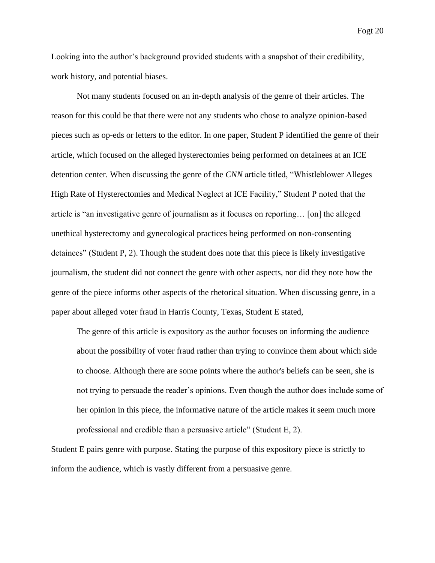Looking into the author's background provided students with a snapshot of their credibility, work history, and potential biases.

Not many students focused on an in-depth analysis of the genre of their articles. The reason for this could be that there were not any students who chose to analyze opinion-based pieces such as op-eds or letters to the editor. In one paper, Student P identified the genre of their article, which focused on the alleged hysterectomies being performed on detainees at an ICE detention center. When discussing the genre of the *CNN* article titled, "Whistleblower Alleges High Rate of Hysterectomies and Medical Neglect at ICE Facility," Student P noted that the article is "an investigative genre of journalism as it focuses on reporting… [on] the alleged unethical hysterectomy and gynecological practices being performed on non-consenting detainees" (Student P, 2). Though the student does note that this piece is likely investigative journalism, the student did not connect the genre with other aspects, nor did they note how the genre of the piece informs other aspects of the rhetorical situation. When discussing genre, in a paper about alleged voter fraud in Harris County, Texas, Student E stated,

The genre of this article is expository as the author focuses on informing the audience about the possibility of voter fraud rather than trying to convince them about which side to choose. Although there are some points where the author's beliefs can be seen, she is not trying to persuade the reader's opinions. Even though the author does include some of her opinion in this piece, the informative nature of the article makes it seem much more professional and credible than a persuasive article" (Student E, 2).

Student E pairs genre with purpose. Stating the purpose of this expository piece is strictly to inform the audience, which is vastly different from a persuasive genre.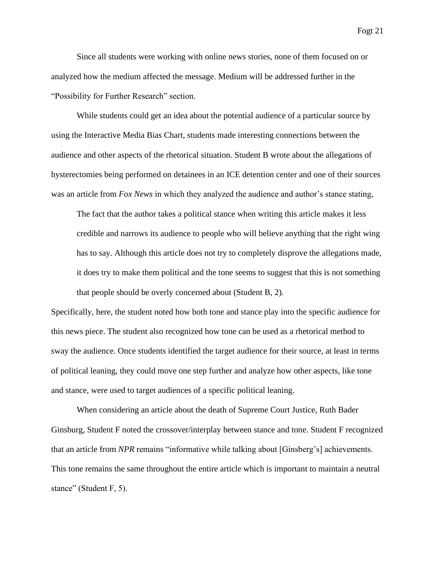Since all students were working with online news stories, none of them focused on or analyzed how the medium affected the message. Medium will be addressed further in the "Possibility for Further Research" section.

While students could get an idea about the potential audience of a particular source by using the Interactive Media Bias Chart, students made interesting connections between the audience and other aspects of the rhetorical situation. Student B wrote about the allegations of hysterectomies being performed on detainees in an ICE detention center and one of their sources was an article from *Fox News* in which they analyzed the audience and author's stance stating,

The fact that the author takes a political stance when writing this article makes it less credible and narrows its audience to people who will believe anything that the right wing has to say. Although this article does not try to completely disprove the allegations made, it does try to make them political and the tone seems to suggest that this is not something that people should be overly concerned about (Student B, 2).

Specifically, here, the student noted how both tone and stance play into the specific audience for this news piece. The student also recognized how tone can be used as a rhetorical method to sway the audience. Once students identified the target audience for their source, at least in terms of political leaning, they could move one step further and analyze how other aspects, like tone and stance, were used to target audiences of a specific political leaning.

When considering an article about the death of Supreme Court Justice, Ruth Bader Ginsburg, Student F noted the crossover/interplay between stance and tone. Student F recognized that an article from *NPR* remains "informative while talking about [Ginsberg's] achievements. This tone remains the same throughout the entire article which is important to maintain a neutral stance" (Student F, 5).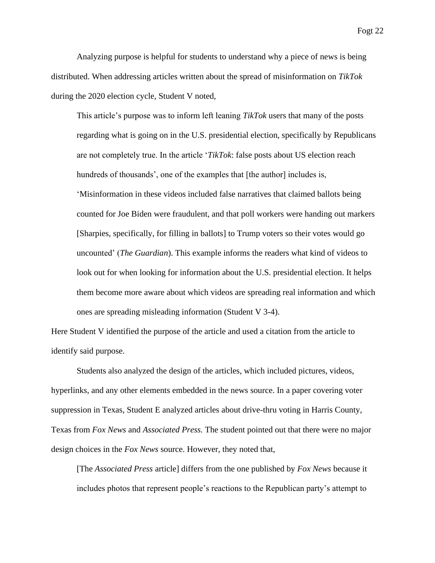Analyzing purpose is helpful for students to understand why a piece of news is being distributed. When addressing articles written about the spread of misinformation on *TikTok* during the 2020 election cycle, Student V noted,

This article's purpose was to inform left leaning *TikTok* users that many of the posts regarding what is going on in the U.S. presidential election, specifically by Republicans are not completely true. In the article '*TikTok*: false posts about US election reach hundreds of thousands', one of the examples that [the author] includes is, 'Misinformation in these videos included false narratives that claimed ballots being counted for Joe Biden were fraudulent, and that poll workers were handing out markers [Sharpies, specifically, for filling in ballots] to Trump voters so their votes would go uncounted' (*The Guardian*). This example informs the readers what kind of videos to look out for when looking for information about the U.S. presidential election. It helps them become more aware about which videos are spreading real information and which ones are spreading misleading information (Student V 3-4).

Here Student V identified the purpose of the article and used a citation from the article to identify said purpose.

Students also analyzed the design of the articles, which included pictures, videos, hyperlinks, and any other elements embedded in the news source. In a paper covering voter suppression in Texas, Student E analyzed articles about drive-thru voting in Harris County, Texas from *Fox News* and *Associated Press.* The student pointed out that there were no major design choices in the *Fox News* source. However, they noted that,

[The *Associated Press* article] differs from the one published by *Fox News* because it includes photos that represent people's reactions to the Republican party's attempt to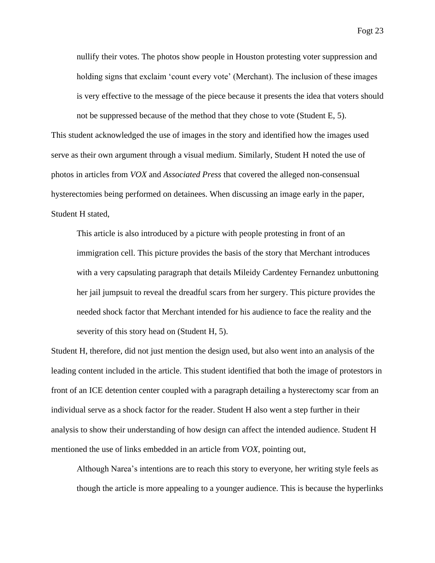holding signs that exclaim 'count every vote' (Merchant). The inclusion of these images is very effective to the message of the piece because it presents the idea that voters should

not be suppressed because of the method that they chose to vote (Student E, 5). This student acknowledged the use of images in the story and identified how the images used serve as their own argument through a visual medium. Similarly, Student H noted the use of photos in articles from *VOX* and *Associated Press* that covered the alleged non-consensual hysterectomies being performed on detainees. When discussing an image early in the paper, Student H stated,

This article is also introduced by a picture with people protesting in front of an immigration cell. This picture provides the basis of the story that Merchant introduces with a very capsulating paragraph that details Mileidy Cardentey Fernandez unbuttoning her jail jumpsuit to reveal the dreadful scars from her surgery. This picture provides the needed shock factor that Merchant intended for his audience to face the reality and the severity of this story head on (Student H, 5).

Student H, therefore, did not just mention the design used, but also went into an analysis of the leading content included in the article. This student identified that both the image of protestors in front of an ICE detention center coupled with a paragraph detailing a hysterectomy scar from an individual serve as a shock factor for the reader. Student H also went a step further in their analysis to show their understanding of how design can affect the intended audience. Student H mentioned the use of links embedded in an article from *VOX*, pointing out,

Although Narea's intentions are to reach this story to everyone, her writing style feels as though the article is more appealing to a younger audience. This is because the hyperlinks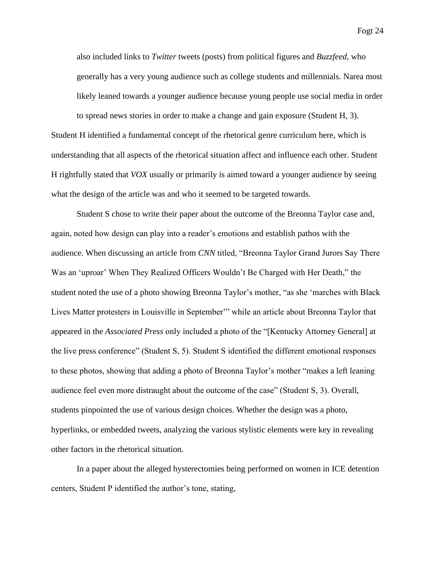also included links to *Twitter* tweets (posts) from political figures and *Buzzfeed*, who generally has a very young audience such as college students and millennials. Narea most likely leaned towards a younger audience because young people use social media in order

to spread news stories in order to make a change and gain exposure (Student H, 3). Student H identified a fundamental concept of the rhetorical genre curriculum here, which is understanding that all aspects of the rhetorical situation affect and influence each other. Student H rightfully stated that *VOX* usually or primarily is aimed toward a younger audience by seeing what the design of the article was and who it seemed to be targeted towards.

Student S chose to write their paper about the outcome of the Breonna Taylor case and, again, noted how design can play into a reader's emotions and establish pathos with the audience. When discussing an article from *CNN* titled, "Breonna Taylor Grand Jurors Say There Was an 'uproar' When They Realized Officers Wouldn't Be Charged with Her Death," the student noted the use of a photo showing Breonna Taylor's mother, "as she 'marches with Black Lives Matter protesters in Louisville in September'" while an article about Breonna Taylor that appeared in the *Associated Press* only included a photo of the "[Kentucky Attorney General] at the live press conference" (Student S, 5). Student S identified the different emotional responses to these photos, showing that adding a photo of Breonna Taylor's mother "makes a left leaning audience feel even more distraught about the outcome of the case" (Student S, 3). Overall, students pinpointed the use of various design choices. Whether the design was a photo, hyperlinks, or embedded tweets, analyzing the various stylistic elements were key in revealing other factors in the rhetorical situation.

In a paper about the alleged hysterectomies being performed on women in ICE detention centers, Student P identified the author's tone, stating,

Fogt 24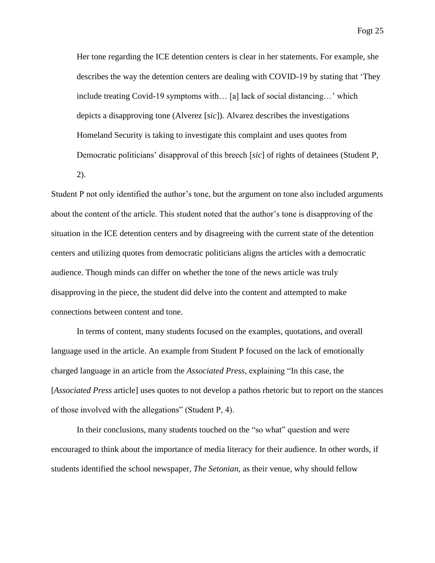Her tone regarding the ICE detention centers is clear in her statements. For example, she describes the way the detention centers are dealing with COVID-19 by stating that 'They include treating Covid-19 symptoms with… [a] lack of social distancing…' which depicts a disapproving tone (Alverez [*sic*]). Alvarez describes the investigations Homeland Security is taking to investigate this complaint and uses quotes from Democratic politicians' disapproval of this breech [*sic*] of rights of detainees (Student P, 2).

Student P not only identified the author's tone, but the argument on tone also included arguments about the content of the article. This student noted that the author's tone is disapproving of the situation in the ICE detention centers and by disagreeing with the current state of the detention centers and utilizing quotes from democratic politicians aligns the articles with a democratic audience. Though minds can differ on whether the tone of the news article was truly disapproving in the piece, the student did delve into the content and attempted to make connections between content and tone.

In terms of content, many students focused on the examples, quotations, and overall language used in the article. An example from Student P focused on the lack of emotionally charged language in an article from the *Associated Press,* explaining "In this case, the [*Associated Press* article] uses quotes to not develop a pathos rhetoric but to report on the stances of those involved with the allegations" (Student P, 4).

In their conclusions, many students touched on the "so what" question and were encouraged to think about the importance of media literacy for their audience. In other words, if students identified the school newspaper, *The Setonian,* as their venue, why should fellow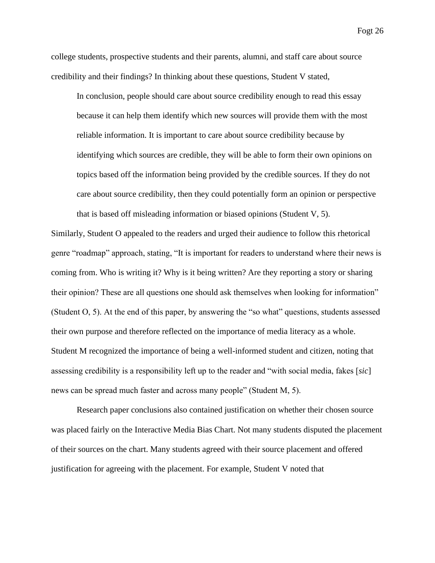college students, prospective students and their parents, alumni, and staff care about source credibility and their findings? In thinking about these questions, Student V stated,

In conclusion, people should care about source credibility enough to read this essay because it can help them identify which new sources will provide them with the most reliable information. It is important to care about source credibility because by identifying which sources are credible, they will be able to form their own opinions on topics based off the information being provided by the credible sources. If they do not care about source credibility, then they could potentially form an opinion or perspective that is based off misleading information or biased opinions (Student V, 5).

Similarly, Student O appealed to the readers and urged their audience to follow this rhetorical genre "roadmap" approach, stating, "It is important for readers to understand where their news is coming from. Who is writing it? Why is it being written? Are they reporting a story or sharing their opinion? These are all questions one should ask themselves when looking for information" (Student O, 5). At the end of this paper, by answering the "so what" questions, students assessed their own purpose and therefore reflected on the importance of media literacy as a whole. Student M recognized the importance of being a well-informed student and citizen, noting that assessing credibility is a responsibility left up to the reader and "with social media, fakes [*sic*] news can be spread much faster and across many people" (Student M, 5).

Research paper conclusions also contained justification on whether their chosen source was placed fairly on the Interactive Media Bias Chart. Not many students disputed the placement of their sources on the chart. Many students agreed with their source placement and offered justification for agreeing with the placement. For example, Student V noted that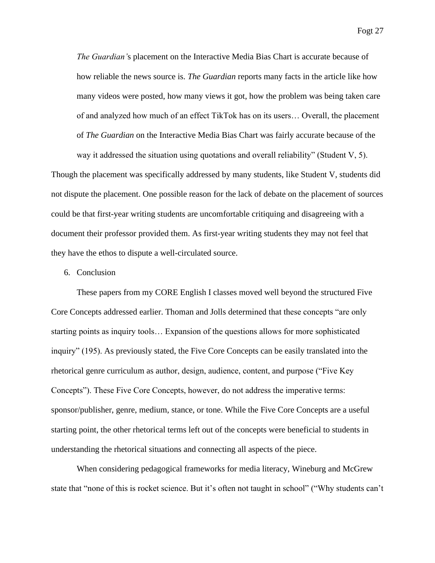*The Guardian'*s placement on the Interactive Media Bias Chart is accurate because of how reliable the news source is. *The Guardian* reports many facts in the article like how many videos were posted, how many views it got, how the problem was being taken care of and analyzed how much of an effect TikTok has on its users… Overall, the placement of *The Guardian* on the Interactive Media Bias Chart was fairly accurate because of the

way it addressed the situation using quotations and overall reliability" (Student V, 5).

Though the placement was specifically addressed by many students, like Student V, students did not dispute the placement. One possible reason for the lack of debate on the placement of sources could be that first-year writing students are uncomfortable critiquing and disagreeing with a document their professor provided them. As first-year writing students they may not feel that they have the ethos to dispute a well-circulated source.

### 6. Conclusion

These papers from my CORE English I classes moved well beyond the structured Five Core Concepts addressed earlier. Thoman and Jolls determined that these concepts "are only starting points as inquiry tools… Expansion of the questions allows for more sophisticated inquiry" (195). As previously stated, the Five Core Concepts can be easily translated into the rhetorical genre curriculum as author, design, audience, content, and purpose ("Five Key Concepts"). These Five Core Concepts, however, do not address the imperative terms: sponsor/publisher, genre, medium, stance, or tone. While the Five Core Concepts are a useful starting point, the other rhetorical terms left out of the concepts were beneficial to students in understanding the rhetorical situations and connecting all aspects of the piece.

When considering pedagogical frameworks for media literacy, Wineburg and McGrew state that "none of this is rocket science. But it's often not taught in school" ("Why students can't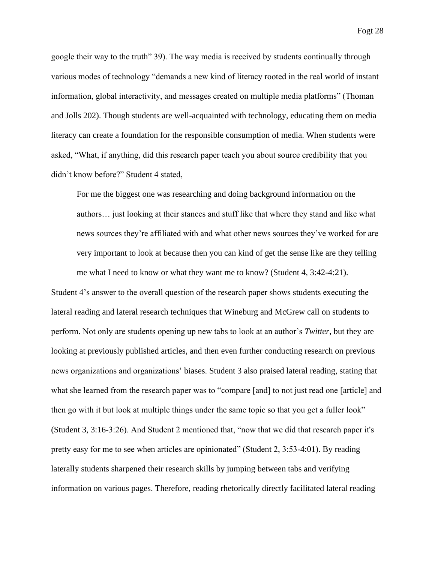google their way to the truth" 39). The way media is received by students continually through various modes of technology "demands a new kind of literacy rooted in the real world of instant information, global interactivity, and messages created on multiple media platforms" (Thoman and Jolls 202). Though students are well-acquainted with technology, educating them on media literacy can create a foundation for the responsible consumption of media. When students were asked, "What, if anything, did this research paper teach you about source credibility that you didn't know before?" Student 4 stated,

For me the biggest one was researching and doing background information on the authors… just looking at their stances and stuff like that where they stand and like what news sources they're affiliated with and what other news sources they've worked for are very important to look at because then you can kind of get the sense like are they telling me what I need to know or what they want me to know? (Student 4, 3:42-4:21).

Student 4's answer to the overall question of the research paper shows students executing the lateral reading and lateral research techniques that Wineburg and McGrew call on students to perform. Not only are students opening up new tabs to look at an author's *Twitter*, but they are looking at previously published articles, and then even further conducting research on previous news organizations and organizations' biases. Student 3 also praised lateral reading, stating that what she learned from the research paper was to "compare [and] to not just read one [article] and then go with it but look at multiple things under the same topic so that you get a fuller look" (Student 3, 3:16-3:26). And Student 2 mentioned that, "now that we did that research paper it's pretty easy for me to see when articles are opinionated" (Student 2, 3:53-4:01). By reading laterally students sharpened their research skills by jumping between tabs and verifying information on various pages. Therefore, reading rhetorically directly facilitated lateral reading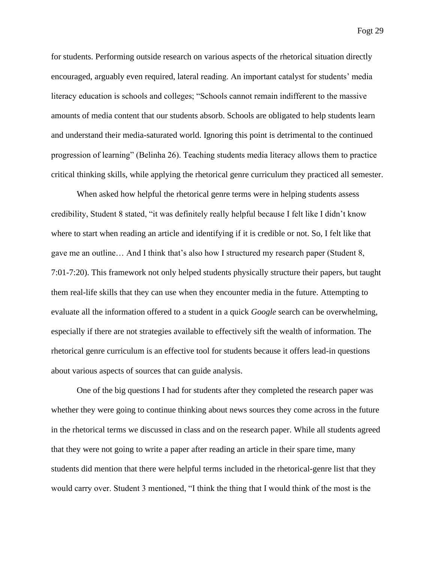for students. Performing outside research on various aspects of the rhetorical situation directly encouraged, arguably even required, lateral reading. An important catalyst for students' media literacy education is schools and colleges; "Schools cannot remain indifferent to the massive amounts of media content that our students absorb. Schools are obligated to help students learn and understand their media-saturated world. Ignoring this point is detrimental to the continued progression of learning" (Belinha 26). Teaching students media literacy allows them to practice critical thinking skills, while applying the rhetorical genre curriculum they practiced all semester.

When asked how helpful the rhetorical genre terms were in helping students assess credibility, Student 8 stated, "it was definitely really helpful because I felt like I didn't know where to start when reading an article and identifying if it is credible or not. So, I felt like that gave me an outline… And I think that's also how I structured my research paper (Student 8, 7:01-7:20). This framework not only helped students physically structure their papers, but taught them real-life skills that they can use when they encounter media in the future. Attempting to evaluate all the information offered to a student in a quick *Google* search can be overwhelming, especially if there are not strategies available to effectively sift the wealth of information. The rhetorical genre curriculum is an effective tool for students because it offers lead-in questions about various aspects of sources that can guide analysis.

One of the big questions I had for students after they completed the research paper was whether they were going to continue thinking about news sources they come across in the future in the rhetorical terms we discussed in class and on the research paper. While all students agreed that they were not going to write a paper after reading an article in their spare time, many students did mention that there were helpful terms included in the rhetorical-genre list that they would carry over. Student 3 mentioned, "I think the thing that I would think of the most is the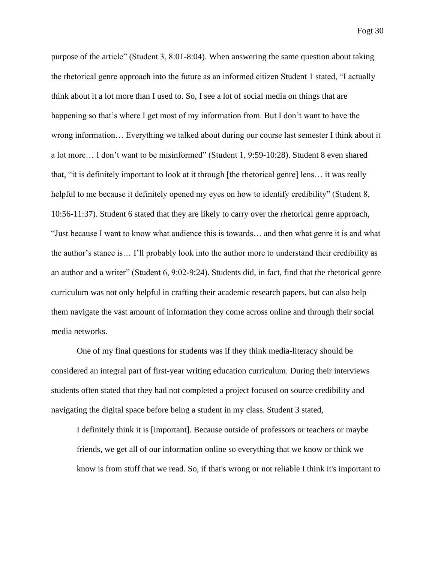purpose of the article" (Student 3, 8:01-8:04). When answering the same question about taking the rhetorical genre approach into the future as an informed citizen Student 1 stated, "I actually think about it a lot more than I used to. So, I see a lot of social media on things that are happening so that's where I get most of my information from. But I don't want to have the wrong information… Everything we talked about during our course last semester I think about it a lot more… I don't want to be misinformed" (Student 1, 9:59-10:28). Student 8 even shared that, "it is definitely important to look at it through [the rhetorical genre] lens… it was really helpful to me because it definitely opened my eyes on how to identify credibility" (Student 8, 10:56-11:37). Student 6 stated that they are likely to carry over the rhetorical genre approach, "Just because I want to know what audience this is towards… and then what genre it is and what the author's stance is… I'll probably look into the author more to understand their credibility as an author and a writer" (Student 6, 9:02-9:24). Students did, in fact, find that the rhetorical genre curriculum was not only helpful in crafting their academic research papers, but can also help them navigate the vast amount of information they come across online and through their social media networks.

One of my final questions for students was if they think media-literacy should be considered an integral part of first-year writing education curriculum. During their interviews students often stated that they had not completed a project focused on source credibility and navigating the digital space before being a student in my class. Student 3 stated,

I definitely think it is [important]. Because outside of professors or teachers or maybe friends, we get all of our information online so everything that we know or think we know is from stuff that we read. So, if that's wrong or not reliable I think it's important to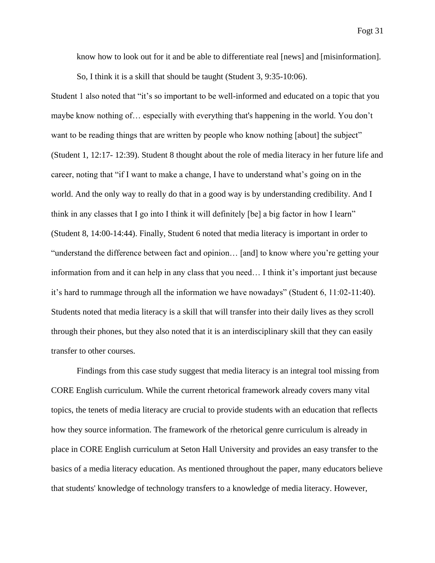know how to look out for it and be able to differentiate real [news] and [misinformation]. So, I think it is a skill that should be taught (Student 3, 9:35-10:06).

Student 1 also noted that "it's so important to be well-informed and educated on a topic that you maybe know nothing of… especially with everything that's happening in the world. You don't want to be reading things that are written by people who know nothing [about] the subject" (Student 1, 12:17- 12:39). Student 8 thought about the role of media literacy in her future life and career, noting that "if I want to make a change, I have to understand what's going on in the world. And the only way to really do that in a good way is by understanding credibility. And I think in any classes that I go into I think it will definitely [be] a big factor in how I learn" (Student 8, 14:00-14:44). Finally, Student 6 noted that media literacy is important in order to "understand the difference between fact and opinion… [and] to know where you're getting your information from and it can help in any class that you need… I think it's important just because it's hard to rummage through all the information we have nowadays" (Student 6, 11:02-11:40). Students noted that media literacy is a skill that will transfer into their daily lives as they scroll through their phones, but they also noted that it is an interdisciplinary skill that they can easily transfer to other courses.

Findings from this case study suggest that media literacy is an integral tool missing from CORE English curriculum. While the current rhetorical framework already covers many vital topics, the tenets of media literacy are crucial to provide students with an education that reflects how they source information. The framework of the rhetorical genre curriculum is already in place in CORE English curriculum at Seton Hall University and provides an easy transfer to the basics of a media literacy education. As mentioned throughout the paper, many educators believe that students' knowledge of technology transfers to a knowledge of media literacy. However,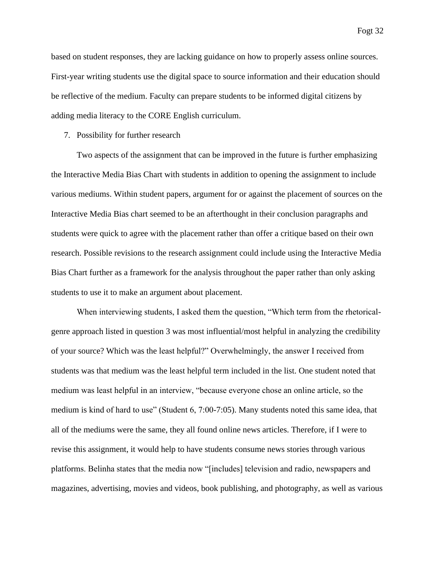based on student responses, they are lacking guidance on how to properly assess online sources. First-year writing students use the digital space to source information and their education should be reflective of the medium. Faculty can prepare students to be informed digital citizens by adding media literacy to the CORE English curriculum.

#### 7. Possibility for further research

Two aspects of the assignment that can be improved in the future is further emphasizing the Interactive Media Bias Chart with students in addition to opening the assignment to include various mediums. Within student papers, argument for or against the placement of sources on the Interactive Media Bias chart seemed to be an afterthought in their conclusion paragraphs and students were quick to agree with the placement rather than offer a critique based on their own research. Possible revisions to the research assignment could include using the Interactive Media Bias Chart further as a framework for the analysis throughout the paper rather than only asking students to use it to make an argument about placement.

When interviewing students, I asked them the question, "Which term from the rhetoricalgenre approach listed in question 3 was most influential/most helpful in analyzing the credibility of your source? Which was the least helpful?" Overwhelmingly, the answer I received from students was that medium was the least helpful term included in the list. One student noted that medium was least helpful in an interview, "because everyone chose an online article, so the medium is kind of hard to use" (Student 6, 7:00-7:05). Many students noted this same idea, that all of the mediums were the same, they all found online news articles. Therefore, if I were to revise this assignment, it would help to have students consume news stories through various platforms. Belinha states that the media now "[includes] television and radio, newspapers and magazines, advertising, movies and videos, book publishing, and photography, as well as various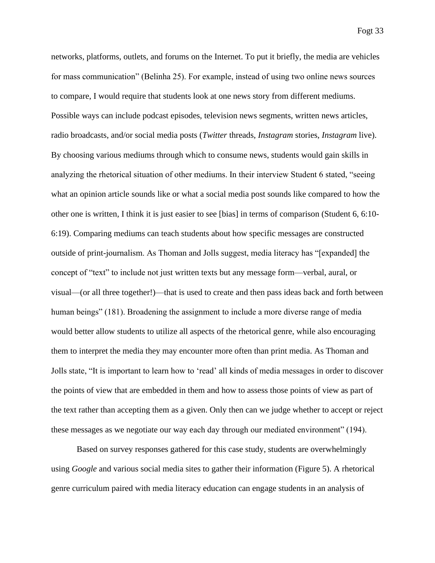networks, platforms, outlets, and forums on the Internet. To put it briefly, the media are vehicles for mass communication" (Belinha 25). For example, instead of using two online news sources to compare, I would require that students look at one news story from different mediums. Possible ways can include podcast episodes, television news segments, written news articles, radio broadcasts, and/or social media posts (*Twitter* threads, *Instagram* stories, *Instagram* live). By choosing various mediums through which to consume news, students would gain skills in analyzing the rhetorical situation of other mediums. In their interview Student 6 stated, "seeing what an opinion article sounds like or what a social media post sounds like compared to how the other one is written, I think it is just easier to see [bias] in terms of comparison (Student 6, 6:10- 6:19). Comparing mediums can teach students about how specific messages are constructed outside of print-journalism. As Thoman and Jolls suggest, media literacy has "[expanded] the concept of "text" to include not just written texts but any message form—verbal, aural, or visual—(or all three together!)—that is used to create and then pass ideas back and forth between human beings" (181). Broadening the assignment to include a more diverse range of media would better allow students to utilize all aspects of the rhetorical genre, while also encouraging them to interpret the media they may encounter more often than print media. As Thoman and Jolls state, "It is important to learn how to 'read' all kinds of media messages in order to discover the points of view that are embedded in them and how to assess those points of view as part of the text rather than accepting them as a given. Only then can we judge whether to accept or reject these messages as we negotiate our way each day through our mediated environment" (194).

Based on survey responses gathered for this case study, students are overwhelmingly using *Google* and various social media sites to gather their information (Figure 5). A rhetorical genre curriculum paired with media literacy education can engage students in an analysis of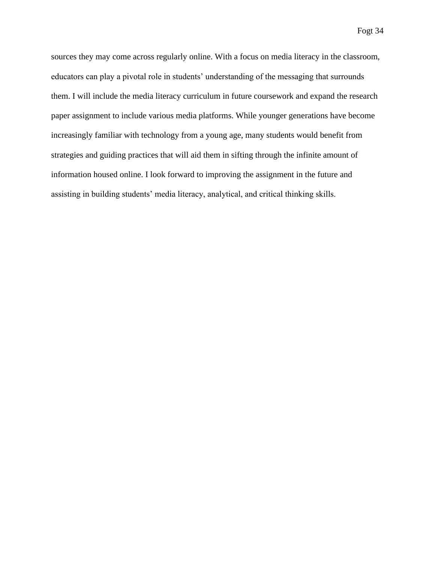sources they may come across regularly online. With a focus on media literacy in the classroom, educators can play a pivotal role in students' understanding of the messaging that surrounds them. I will include the media literacy curriculum in future coursework and expand the research paper assignment to include various media platforms. While younger generations have become increasingly familiar with technology from a young age, many students would benefit from strategies and guiding practices that will aid them in sifting through the infinite amount of information housed online. I look forward to improving the assignment in the future and assisting in building students' media literacy, analytical, and critical thinking skills.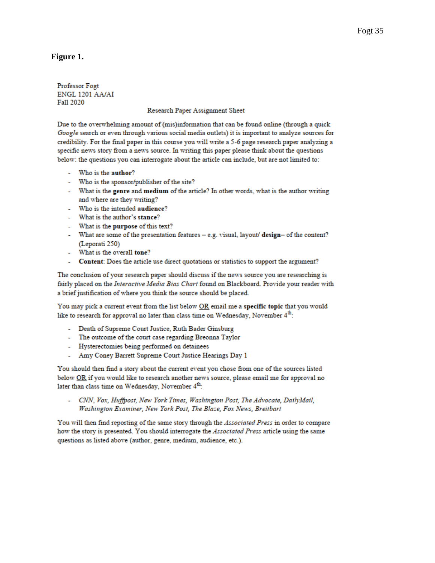# **Figure 1.**

Professor Fogt ENGL 1201 AA/AI Fall 2020

#### Research Paper Assignment Sheet

Due to the overwhelming amount of (mis)information that can be found online (through a quick Google search or even through various social media outlets) it is important to analyze sources for credibility. For the final paper in this course you will write a 5-6 page research paper analyzing a specific news story from a news source. In writing this paper please think about the questions below: the questions you can interrogate about the article can include, but are not limited to:

- Who is the author?
- Who is the sponsor/publisher of the site?
- What is the genre and medium of the article? In other words, what is the author writing and where are they writing?
- Who is the intended audience?
- What is the author's stance?
- What is the purpose of this text?
- What are some of the presentation features e.g. visual, layout/ design- of the content? (Leporati 250)
- What is the overall tone?
- Content: Does the article use direct quotations or statistics to support the argument?

The conclusion of your research paper should discuss if the news source you are researching is fairly placed on the Interactive Media Bias Chart found on Blackboard. Provide your reader with a brief justification of where you think the source should be placed.

You may pick a current event from the list below OR email me a specific topic that you would like to research for approval no later than class time on Wednesday, November 4<sup>th</sup>:

- Death of Supreme Court Justice, Ruth Bader Ginsburg
- The outcome of the court case regarding Breonna Taylor
- Hysterectomies being performed on detainees
- Amy Coney Barrett Supreme Court Justice Hearings Day 1

You should then find a story about the current event you chose from one of the sources listed below OR if you would like to research another news source, please email me for approval no later than class time on Wednesday, November 4th:

CNN, Vox, Huffpost, New York Times, Washington Post, The Advocate, DailyMail, Washington Examiner, New York Post, The Blaze, Fox News, Breitbart

You will then find reporting of the same story through the Associated Press in order to compare how the story is presented. You should interrogate the Associated Press article using the same questions as listed above (author, genre, medium, audience, etc.).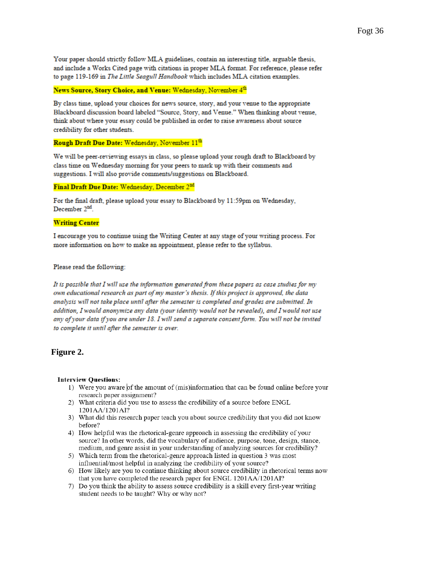Your paper should strictly follow MLA guidelines, contain an interesting title, arguable thesis, and include a Works Cited page with citations in proper MLA format. For reference, please refer to page 119-169 in The Little Seagull Handbook which includes MLA citation examples.

#### News Source, Story Choice, and Venue: Wednesday, November 4th

By class time, upload your choices for news source, story, and your venue to the appropriate Blackboard discussion board labeled "Source, Story, and Venue." When thinking about venue, think about where your essay could be published in order to raise awareness about source credibility for other students.

#### Rough Draft Due Date: Wednesday, November 11th

We will be peer-reviewing essays in class, so please upload your rough draft to Blackboard by class time on Wednesday morning for your peers to mark up with their comments and suggestions. I will also provide comments/suggestions on Blackboard.

#### Final Draft Due Date: Wednesday, December 2nd

For the final draft, please upload your essay to Blackboard by 11:59pm on Wednesday, December 2<sup>nd</sup>.

### **Writing Center**

I encourage you to continue using the Writing Center at any stage of your writing process. For more information on how to make an appointment, please refer to the syllabus.

#### Please read the following:

It is possible that I will use the information generated from these papers as case studies for my own educational research as part of my master's thesis. If this project is approved, the data analysis will not take place until after the semester is completed and grades are submitted. In addition, I would anonymize any data (your identity would not be revealed), and I would not use any of your data if you are under 18. I will send a separate consent form. You will not be invited to complete it until after the semester is over.

### **Figure 2.**

#### **Interview Questions:**

- 1) Were you aware of the amount of (mis)information that can be found online before your research paper assignment?
- 2) What criteria did you use to assess the credibility of a source before ENGL 1201AA/1201AI?
- 3) What did this research paper teach you about source credibility that you did not know before?
- 4) How helpful was the rhetorical-genre approach in assessing the credibility of your source? In other words, did the vocabulary of audience, purpose, tone, design, stance, medium, and genre assist in your understanding of analyzing sources for credibility?
- 5) Which term from the rhetorical-genre approach listed in question 3 was most influential/most helpful in analyzing the credibility of your source?
- 6) How likely are you to continue thinking about source credibility in rhetorical terms now that you have completed the research paper for ENGL 1201AA/1201AI?
- 7) Do you think the ability to assess source credibility is a skill every first-year writing student needs to be taught? Why or why not?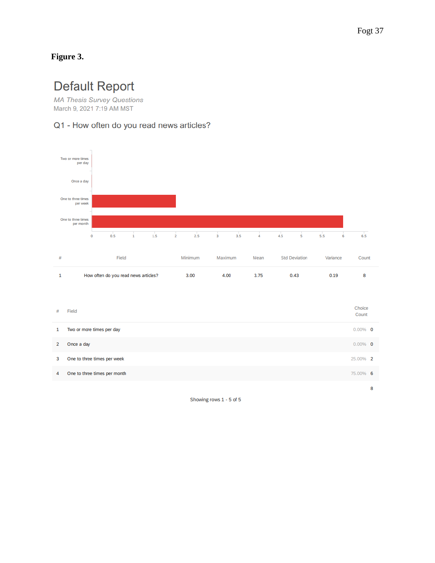# **Figure 3.**

# **Default Report**

**MA Thesis Survey Questions** March 9, 2021 7:19 AM MST

# Q1 - How often do you read news articles?



Showing rows 1 - 5 of 5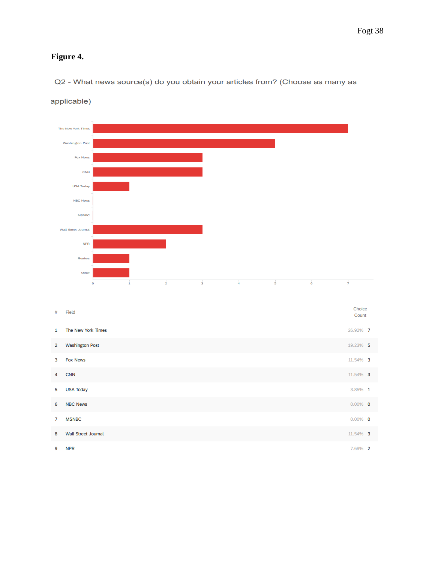# **Figure 4.**

Q2 - What news source(s) do you obtain your articles from? (Choose as many as



applicable)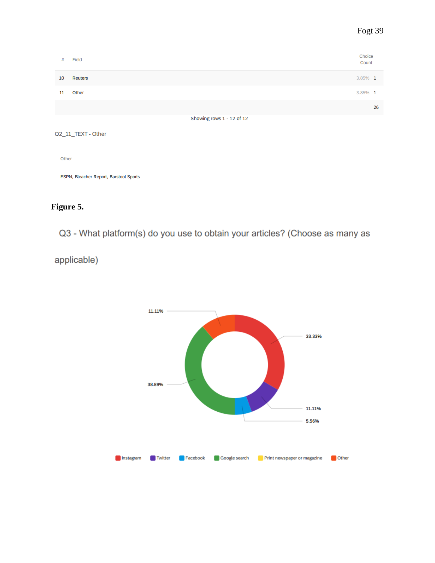| #                                      | Field                     | Choice<br>Count |    |  |  |  |
|----------------------------------------|---------------------------|-----------------|----|--|--|--|
| 10                                     | Reuters                   | 3.85% 1         |    |  |  |  |
| 11                                     | Other                     | 3.85% 1         |    |  |  |  |
|                                        |                           |                 | 26 |  |  |  |
|                                        | Showing rows 1 - 12 of 12 |                 |    |  |  |  |
|                                        | Q2_11_TEXT - Other        |                 |    |  |  |  |
| Other                                  |                           |                 |    |  |  |  |
| ESPN, Bleacher Report, Barstool Sports |                           |                 |    |  |  |  |

# **Figure 5.**

Q3 - What platform(s) do you use to obtain your articles? (Choose as many as

applicable)

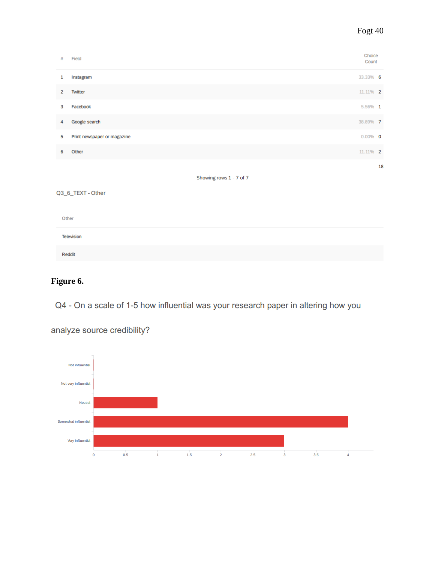| #                       | Field                       | Choice<br>Count |    |  |
|-------------------------|-----------------------------|-----------------|----|--|
| 1                       | Instagram                   | 33.33% 6        |    |  |
| $\overline{2}$          | Twitter                     | 11.11% 2        |    |  |
| 3                       | Facebook                    | 5.56% 1         |    |  |
| 4                       | Google search               | 38.89% 7        |    |  |
| 5                       | Print newspaper or magazine | $0.00\%$ 0      |    |  |
| 6                       | Other                       | 11.11% 2        |    |  |
|                         |                             |                 | 18 |  |
| Showing rows 1 - 7 of 7 |                             |                 |    |  |

Q3\_6\_TEXT - Other

| Other             |  |  |
|-------------------|--|--|
| <b>Television</b> |  |  |
| Reddit            |  |  |

# **Figure 6.**

Q4 - On a scale of 1-5 how influential was your research paper in altering how you



analyze source credibility?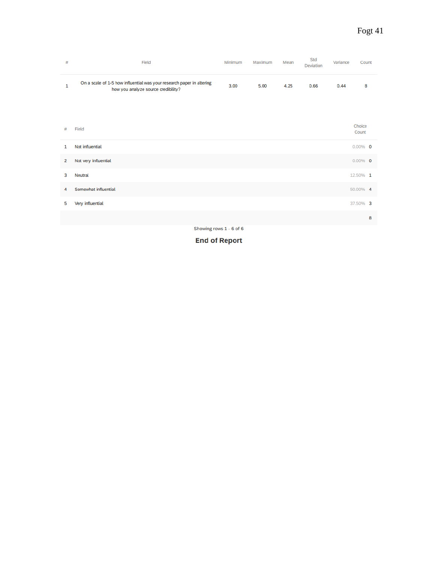| #              | Field                                                                                                        | Minimum                 | Maximum | Mean | Std<br>Deviation | Variance | Count           |
|----------------|--------------------------------------------------------------------------------------------------------------|-------------------------|---------|------|------------------|----------|-----------------|
| $\mathbf{1}$   | On a scale of 1-5 how influential was your research paper in altering<br>how you analyze source credibility? | 3.00                    | 5.00    | 4.25 | 0.66             | 0.44     | 8               |
|                |                                                                                                              |                         |         |      |                  |          |                 |
| #              | Field                                                                                                        |                         |         |      |                  |          | Choice<br>Count |
| 1              | Not influential                                                                                              |                         |         |      |                  |          | $0.00\%$ 0      |
| $\overline{2}$ | Not very influential                                                                                         |                         |         |      |                  |          | $0.00\%$ 0      |
| 3              | <b>Neutral</b>                                                                                               |                         |         |      |                  |          | 12.50% 1        |
| 4              | Somewhat influential                                                                                         |                         |         |      |                  |          | 50.00% 4        |
| 5              | Very influential                                                                                             |                         |         |      |                  |          | 37.50% 3        |
|                |                                                                                                              |                         |         |      |                  |          | 8               |
|                |                                                                                                              | Showing rows 1 - 6 of 6 |         |      |                  |          |                 |

**End of Report**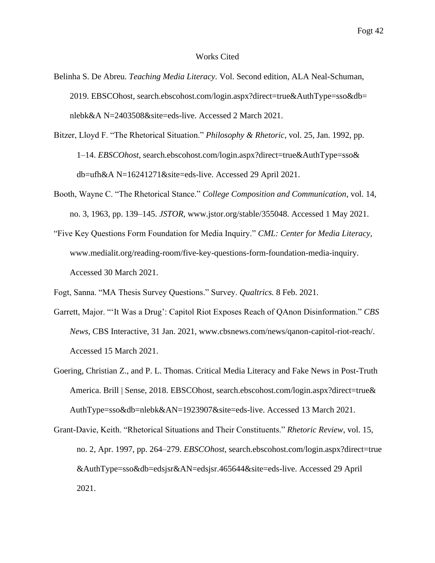### Works Cited

- Belinha S. De Abreu. *Teaching Media Literacy*. Vol. Second edition, ALA Neal-Schuman, 2019. EBSCOhost, search.ebscohost.com/login.aspx?direct=true&AuthType=sso&db= nlebk&A N=2403508&site=eds-live. Accessed 2 March 2021.
- Bitzer, Lloyd F. "The Rhetorical Situation." *Philosophy & Rhetoric*, vol. 25, Jan. 1992, pp. 1–14. *EBSCOhost*, search.ebscohost.com/login.aspx?direct=true&AuthType=sso& db=ufh&A N=16241271&site=eds-live. Accessed 29 April 2021.
- Booth, Wayne C. "The Rhetorical Stance." *College Composition and Communication*, vol. 14, no. 3, 1963, pp. 139–145. *JSTOR*, www.jstor.org/stable/355048. Accessed 1 May 2021.
- "Five Key Questions Form Foundation for Media Inquiry." *CML: Center for Media Literacy*, www.medialit.org/reading-room/five-key-questions-form-foundation-media-inquiry. Accessed 30 March 2021.

Fogt, Sanna. "MA Thesis Survey Questions." Survey. *Qualtrics.* 8 Feb. 2021.

- Garrett, Major. "'It Was a Drug': Capitol Riot Exposes Reach of QAnon Disinformation." *CBS News*, CBS Interactive, 31 Jan. 2021, www.cbsnews.com/news/qanon-capitol-riot-reach/. Accessed 15 March 2021.
- Goering, Christian Z., and P. L. Thomas. Critical Media Literacy and Fake News in Post-Truth America. Brill | Sense, 2018. EBSCOhost, search.ebscohost.com/login.aspx?direct=true& AuthType=sso&db=nlebk&AN=1923907&site=eds-live. Accessed 13 March 2021.
- Grant-Davie, Keith. "Rhetorical Situations and Their Constituents." *Rhetoric Review*, vol. 15, no. 2, Apr. 1997, pp. 264–279. *EBSCOhost*, search.ebscohost.com/login.aspx?direct=true &AuthType=sso&db=edsjsr&AN=edsjsr.465644&site=eds-live. Accessed 29 April 2021.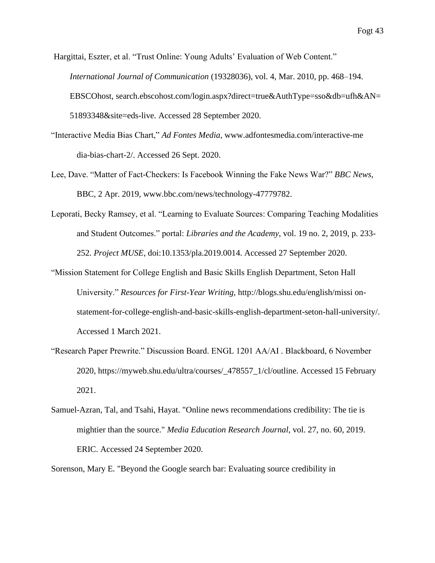Hargittai, Eszter, et al. "Trust Online: Young Adults' Evaluation of Web Content." *International Journal of Communication* (19328036), vol. 4, Mar. 2010, pp. 468–194. EBSCOhost, search.ebscohost.com/login.aspx?direct=true&AuthType=sso&db=ufh&AN= 51893348&site=eds-live. Accessed 28 September 2020.

- "Interactive Media Bias Chart," *Ad Fontes Media*, www.adfontesmedia.com/interactive-me dia-bias-chart-2/. Accessed 26 Sept. 2020.
- Lee, Dave. "Matter of Fact-Checkers: Is Facebook Winning the Fake News War?" *BBC News*, BBC, 2 Apr. 2019, www.bbc.com/news/technology-47779782.
- Leporati, Becky Ramsey, et al. "Learning to Evaluate Sources: Comparing Teaching Modalities and Student Outcomes." portal: *Libraries and the Academy*, vol. 19 no. 2, 2019, p. 233- 252. *Project MUSE*, doi:10.1353/pla.2019.0014. Accessed 27 September 2020.
- "Mission Statement for College English and Basic Skills English Department, Seton Hall University." *Resources for First-Year Writing,* http://blogs.shu.edu/english/missi onstatement-for-college-english-and-basic-skills-english-department-seton-hall-university/. Accessed 1 March 2021.
- "Research Paper Prewrite." Discussion Board. ENGL 1201 AA/AI . Blackboard, 6 November 2020, https://myweb.shu.edu/ultra/courses/\_478557\_1/cl/outline. Accessed 15 February 2021.
- Samuel-Azran, Tal, and Tsahi, Hayat. "Online news recommendations credibility: The tie is mightier than the source." *Media Education Research Journal*, vol. 27, no. 60, 2019. ERIC. Accessed 24 September 2020.

Sorenson, Mary E. "Beyond the Google search bar: Evaluating source credibility in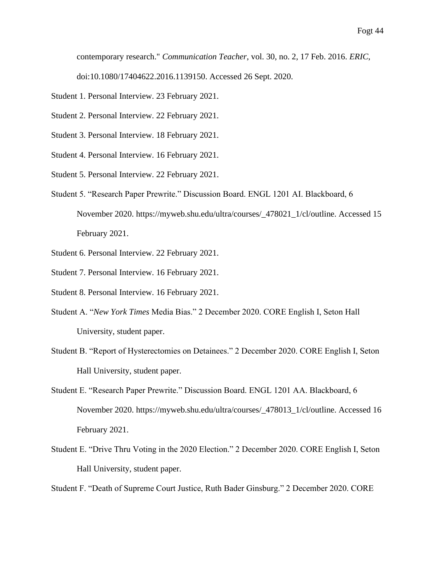contemporary research." *Communication Teacher*, vol. 30, no. 2, 17 Feb. 2016. *ERIC*,

doi:10.1080/17404622.2016.1139150. Accessed 26 Sept. 2020.

- Student 1. Personal Interview. 23 February 2021.
- Student 2. Personal Interview. 22 February 2021.
- Student 3. Personal Interview. 18 February 2021.
- Student 4. Personal Interview. 16 February 2021.
- Student 5. Personal Interview. 22 February 2021.
- Student 5. "Research Paper Prewrite." Discussion Board. ENGL 1201 AI. Blackboard, 6 November 2020. https://myweb.shu.edu/ultra/courses/\_478021\_1/cl/outline. Accessed 15 February 2021.
- Student 6. Personal Interview. 22 February 2021.
- Student 7. Personal Interview. 16 February 2021.
- Student 8. Personal Interview. 16 February 2021.
- Student A. "*New York Times* Media Bias." 2 December 2020. CORE English I, Seton Hall University, student paper.
- Student B. "Report of Hysterectomies on Detainees." 2 December 2020. CORE English I, Seton Hall University, student paper.
- Student E. "Research Paper Prewrite." Discussion Board. ENGL 1201 AA. Blackboard, 6 November 2020. https://myweb.shu.edu/ultra/courses/\_478013\_1/cl/outline. Accessed 16 February 2021.
- Student E. "Drive Thru Voting in the 2020 Election." 2 December 2020. CORE English I, Seton Hall University, student paper.

Student F. "Death of Supreme Court Justice, Ruth Bader Ginsburg." 2 December 2020. CORE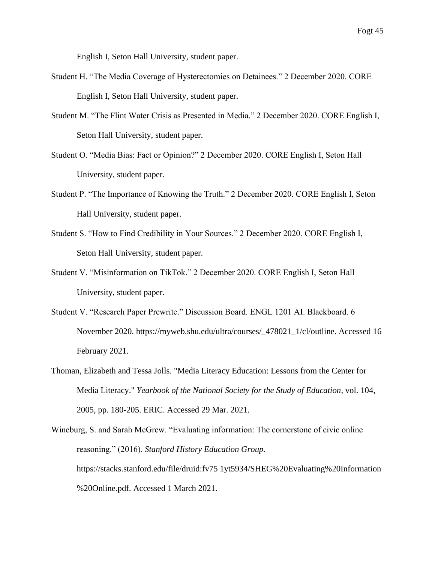English I, Seton Hall University, student paper.

- Student H. "The Media Coverage of Hysterectomies on Detainees." 2 December 2020. CORE English I, Seton Hall University, student paper.
- Student M. "The Flint Water Crisis as Presented in Media." 2 December 2020. CORE English I, Seton Hall University, student paper.
- Student O. "Media Bias: Fact or Opinion?" 2 December 2020. CORE English I, Seton Hall University, student paper.
- Student P. "The Importance of Knowing the Truth." 2 December 2020. CORE English I, Seton Hall University, student paper.
- Student S. "How to Find Credibility in Your Sources." 2 December 2020. CORE English I, Seton Hall University, student paper.
- Student V. "Misinformation on TikTok." 2 December 2020. CORE English I, Seton Hall University, student paper.
- Student V. "Research Paper Prewrite." Discussion Board. ENGL 1201 AI. Blackboard. 6 November 2020. https://myweb.shu.edu/ultra/courses/\_478021\_1/cl/outline. Accessed 16 February 2021.
- Thoman, Elizabeth and Tessa Jolls. "Media Literacy Education: Lessons from the Center for Media Literacy." *Yearbook of the National Society for the Study of Education*, vol. 104, 2005, pp. 180-205. ERIC. Accessed 29 Mar. 2021.

Wineburg, S. and Sarah McGrew. "Evaluating information: The cornerstone of civic online reasoning." (2016). *Stanford History Education Group.* https://stacks.stanford.edu/file/druid:fv75 1yt5934/SHEG%20Evaluating%20Information %20Online.pdf. Accessed 1 March 2021.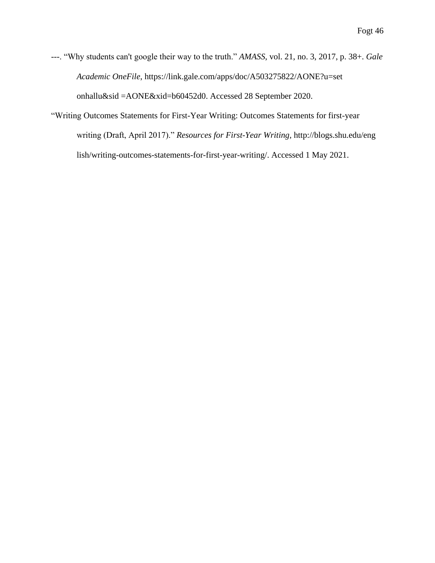---. "Why students can't google their way to the truth." *AMASS*, vol. 21, no. 3, 2017, p. 38+. *Gale Academic OneFile*, https://link.gale.com/apps/doc/A503275822/AONE?u=set onhallu&sid =AONE&xid=b60452d0. Accessed 28 September 2020.

"Writing Outcomes Statements for First-Year Writing: Outcomes Statements for first-year writing (Draft, April 2017)." *Resources for First-Year Writing,* http://blogs.shu.edu/eng lish/writing-outcomes-statements-for-first-year-writing/. Accessed 1 May 2021.